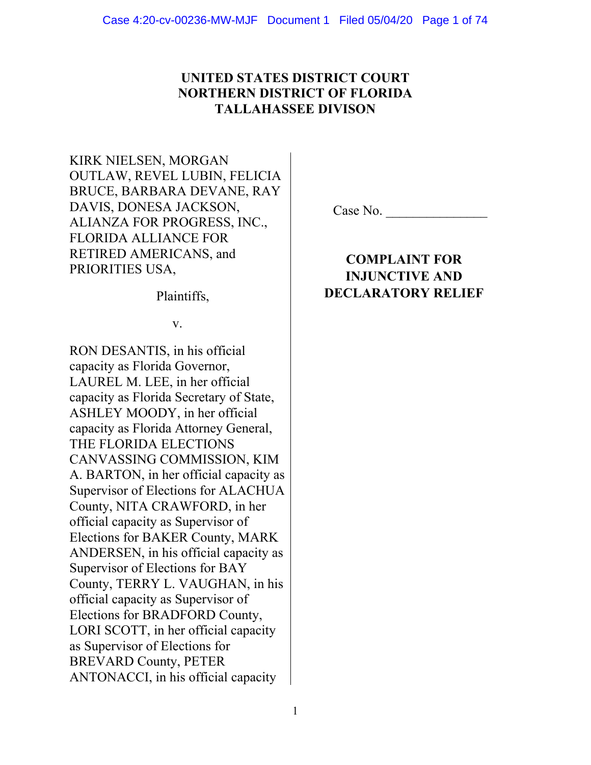# **UNITED STATES DISTRICT COURT NORTHERN DISTRICT OF FLORIDA TALLAHASSEE DIVISON**

KIRK NIELSEN, MORGAN OUTLAW, REVEL LUBIN, FELICIA BRUCE, BARBARA DEVANE, RAY DAVIS, DONESA JACKSON, ALIANZA FOR PROGRESS, INC., FLORIDA ALLIANCE FOR RETIRED AMERICANS, and PRIORITIES USA,

Plaintiffs,

v.

RON DESANTIS, in his official capacity as Florida Governor, LAUREL M. LEE, in her official capacity as Florida Secretary of State, ASHLEY MOODY, in her official capacity as Florida Attorney General, THE FLORIDA ELECTIONS CANVASSING COMMISSION, KIM A. BARTON, in her official capacity as Supervisor of Elections for ALACHUA County, NITA CRAWFORD, in her official capacity as Supervisor of Elections for BAKER County, MARK ANDERSEN, in his official capacity as Supervisor of Elections for BAY County, TERRY L. VAUGHAN, in his official capacity as Supervisor of Elections for BRADFORD County, LORI SCOTT, in her official capacity as Supervisor of Elections for BREVARD County, PETER ANTONACCI, in his official capacity

Case No.

# **COMPLAINT FOR INJUNCTIVE AND DECLARATORY RELIEF**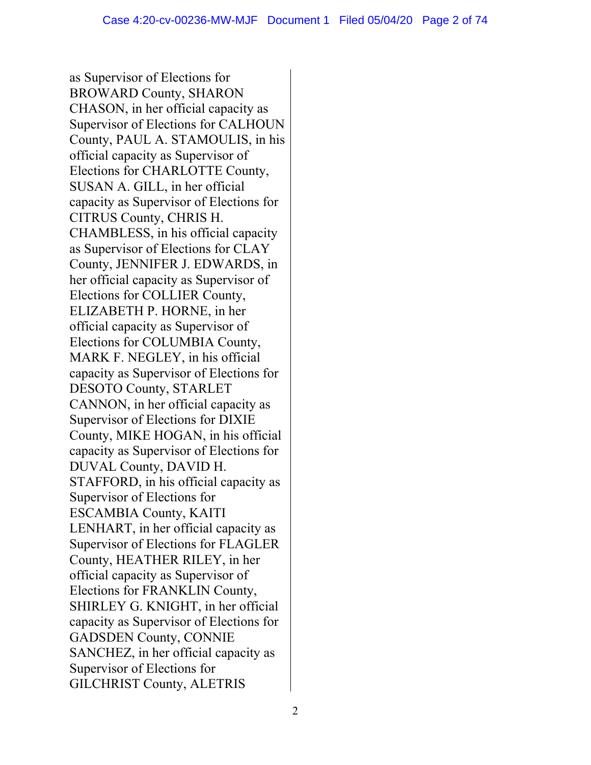as Supervisor of Elections for BROWARD County, SHARON CHASON, in her official capacity as Supervisor of Elections for CALHOUN County, PAUL A. STAMOULIS, in his official capacity as Supervisor of Elections for CHARLOTTE County, SUSAN A. GILL, in her official capacity as Supervisor of Elections for CITRUS County, CHRIS H. CHAMBLESS, in his official capacity as Supervisor of Elections for CLAY County, JENNIFER J. EDWARDS, in her official capacity as Supervisor of Elections for COLLIER County, ELIZABETH P. HORNE, in her official capacity as Supervisor of Elections for COLUMBIA County, MARK F. NEGLEY, in his official capacity as Supervisor of Elections for DESOTO County, STARLET CANNON, in her official capacity as Supervisor of Elections for DIXIE County, MIKE HOGAN, in his official capacity as Supervisor of Elections for DUVAL County, DAVID H. STAFFORD, in his official capacity as Supervisor of Elections for ESCAMBIA County, KAITI LENHART, in her official capacity as Supervisor of Elections for FLAGLER County, HEATHER RILEY, in her official capacity as Supervisor of Elections for FRANKLIN County, SHIRLEY G. KNIGHT, in her official capacity as Supervisor of Elections for GADSDEN County, CONNIE SANCHEZ, in her official capacity as Supervisor of Elections for GILCHRIST County, ALETRIS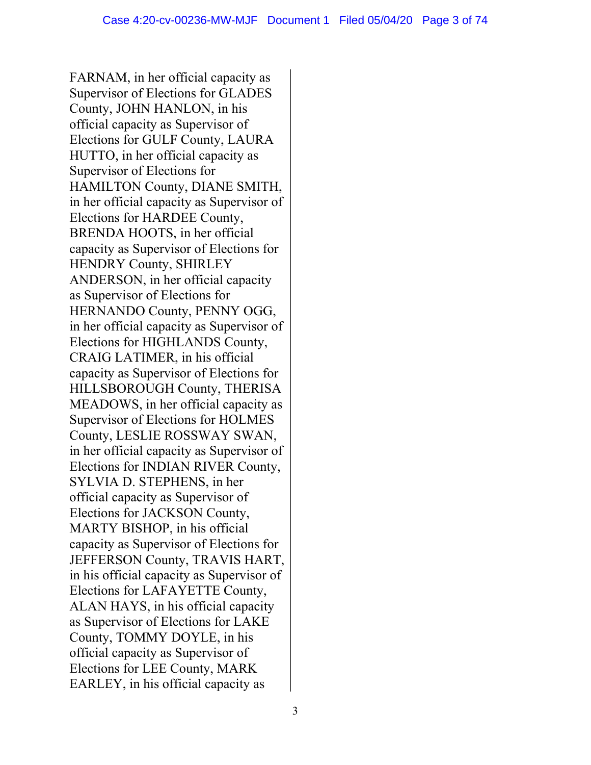FARNAM, in her official capacity as Supervisor of Elections for GLADES County, JOHN HANLON, in his official capacity as Supervisor of Elections for GULF County, LAURA HUTTO, in her official capacity as Supervisor of Elections for HAMILTON County, DIANE SMITH, in her official capacity as Supervisor of Elections for HARDEE County, BRENDA HOOTS, in her official capacity as Supervisor of Elections for HENDRY County, SHIRLEY ANDERSON, in her official capacity as Supervisor of Elections for HERNANDO County, PENNY OGG, in her official capacity as Supervisor of Elections for HIGHLANDS County, CRAIG LATIMER, in his official capacity as Supervisor of Elections for HILLSBOROUGH County, THERISA MEADOWS, in her official capacity as Supervisor of Elections for HOLMES County, LESLIE ROSSWAY SWAN, in her official capacity as Supervisor of Elections for INDIAN RIVER County, SYLVIA D. STEPHENS, in her official capacity as Supervisor of Elections for JACKSON County, MARTY BISHOP, in his official capacity as Supervisor of Elections for JEFFERSON County, TRAVIS HART, in his official capacity as Supervisor of Elections for LAFAYETTE County, ALAN HAYS, in his official capacity as Supervisor of Elections for LAKE County, TOMMY DOYLE, in his official capacity as Supervisor of Elections for LEE County, MARK EARLEY, in his official capacity as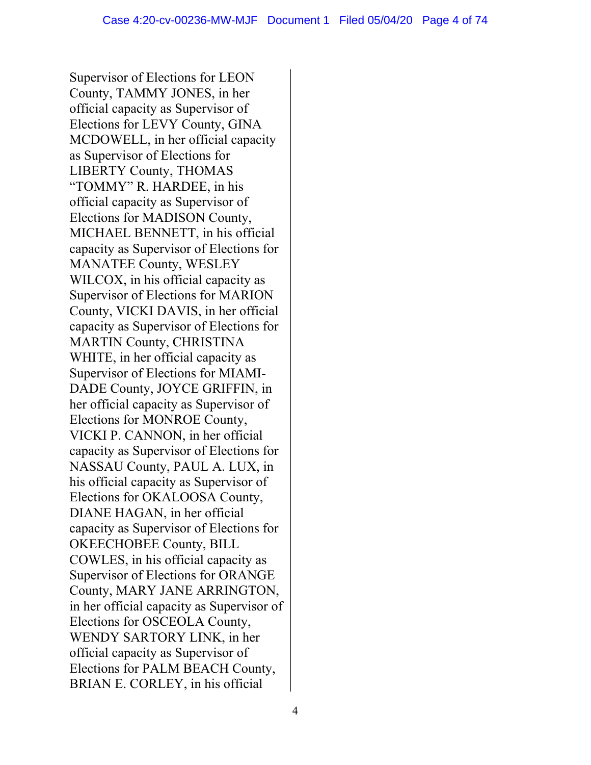Supervisor of Elections for LEON County, TAMMY JONES, in her official capacity as Supervisor of Elections for LEVY County, GINA MCDOWELL, in her official capacity as Supervisor of Elections for LIBERTY County, THOMAS "TOMMY" R. HARDEE, in his official capacity as Supervisor of Elections for MADISON County, MICHAEL BENNETT, in his official capacity as Supervisor of Elections for MANATEE County, WESLEY WILCOX, in his official capacity as Supervisor of Elections for MARION County, VICKI DAVIS, in her official capacity as Supervisor of Elections for MARTIN County, CHRISTINA WHITE, in her official capacity as Supervisor of Elections for MIAMI-DADE County, JOYCE GRIFFIN, in her official capacity as Supervisor of Elections for MONROE County, VICKI P. CANNON, in her official capacity as Supervisor of Elections for NASSAU County, PAUL A. LUX, in his official capacity as Supervisor of Elections for OKALOOSA County, DIANE HAGAN, in her official capacity as Supervisor of Elections for OKEECHOBEE County, BILL COWLES, in his official capacity as Supervisor of Elections for ORANGE County, MARY JANE ARRINGTON, in her official capacity as Supervisor of Elections for OSCEOLA County, WENDY SARTORY LINK, in her official capacity as Supervisor of Elections for PALM BEACH County, BRIAN E. CORLEY, in his official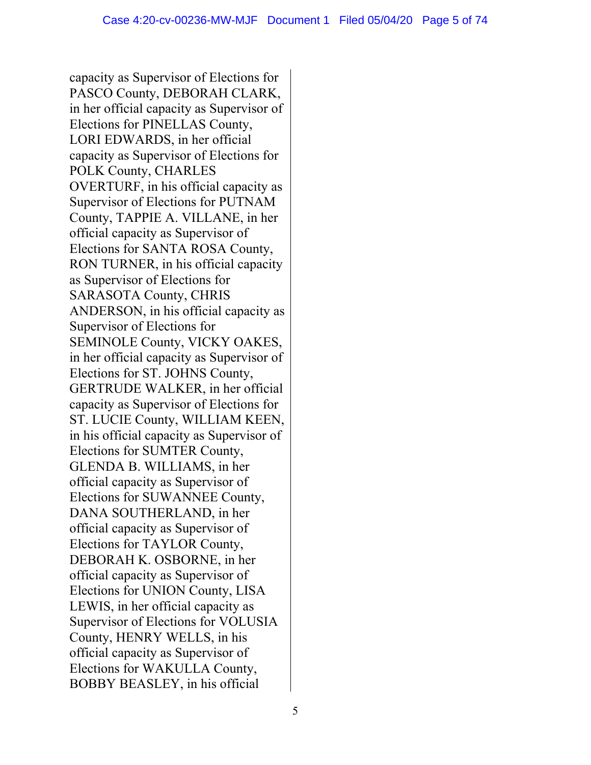capacity as Supervisor of Elections for PASCO County, DEBORAH CLARK, in her official capacity as Supervisor of Elections for PINELLAS County, LORI EDWARDS, in her official capacity as Supervisor of Elections for POLK County, CHARLES OVERTURF, in his official capacity as Supervisor of Elections for PUTNAM County, TAPPIE A. VILLANE, in her official capacity as Supervisor of Elections for SANTA ROSA County, RON TURNER, in his official capacity as Supervisor of Elections for SARASOTA County, CHRIS ANDERSON, in his official capacity as Supervisor of Elections for SEMINOLE County, VICKY OAKES, in her official capacity as Supervisor of Elections for ST. JOHNS County, GERTRUDE WALKER, in her official capacity as Supervisor of Elections for ST. LUCIE County, WILLIAM KEEN, in his official capacity as Supervisor of Elections for SUMTER County, GLENDA B. WILLIAMS, in her official capacity as Supervisor of Elections for SUWANNEE County, DANA SOUTHERLAND, in her official capacity as Supervisor of Elections for TAYLOR County, DEBORAH K. OSBORNE, in her official capacity as Supervisor of Elections for UNION County, LISA LEWIS, in her official capacity as Supervisor of Elections for VOLUSIA County, HENRY WELLS, in his official capacity as Supervisor of Elections for WAKULLA County, BOBBY BEASLEY, in his official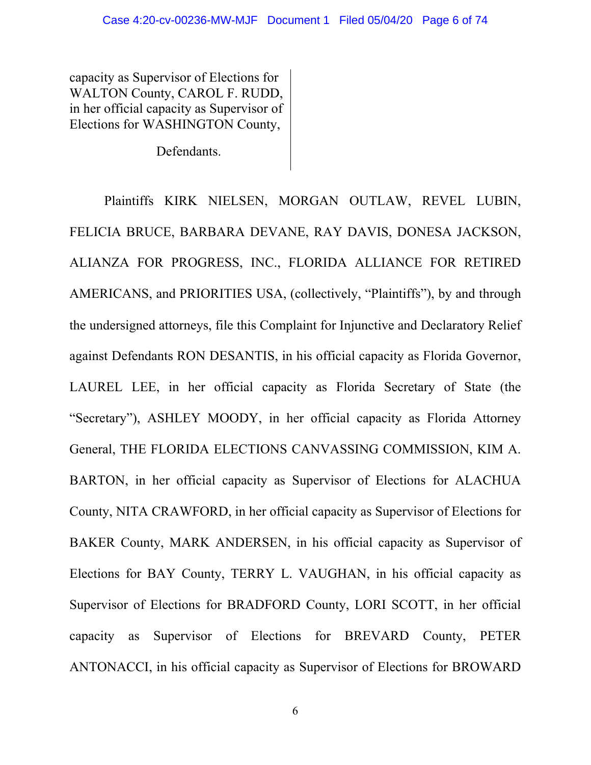capacity as Supervisor of Elections for WALTON County, CAROL F. RUDD, in her official capacity as Supervisor of Elections for WASHINGTON County,

Defendants.

Plaintiffs KIRK NIELSEN, MORGAN OUTLAW, REVEL LUBIN, FELICIA BRUCE, BARBARA DEVANE, RAY DAVIS, DONESA JACKSON, ALIANZA FOR PROGRESS, INC., FLORIDA ALLIANCE FOR RETIRED AMERICANS, and PRIORITIES USA, (collectively, "Plaintiffs"), by and through the undersigned attorneys, file this Complaint for Injunctive and Declaratory Relief against Defendants RON DESANTIS, in his official capacity as Florida Governor, LAUREL LEE, in her official capacity as Florida Secretary of State (the "Secretary"), ASHLEY MOODY, in her official capacity as Florida Attorney General, THE FLORIDA ELECTIONS CANVASSING COMMISSION, KIM A. BARTON, in her official capacity as Supervisor of Elections for ALACHUA County, NITA CRAWFORD, in her official capacity as Supervisor of Elections for BAKER County, MARK ANDERSEN, in his official capacity as Supervisor of Elections for BAY County, TERRY L. VAUGHAN, in his official capacity as Supervisor of Elections for BRADFORD County, LORI SCOTT, in her official capacity as Supervisor of Elections for BREVARD County, PETER ANTONACCI, in his official capacity as Supervisor of Elections for BROWARD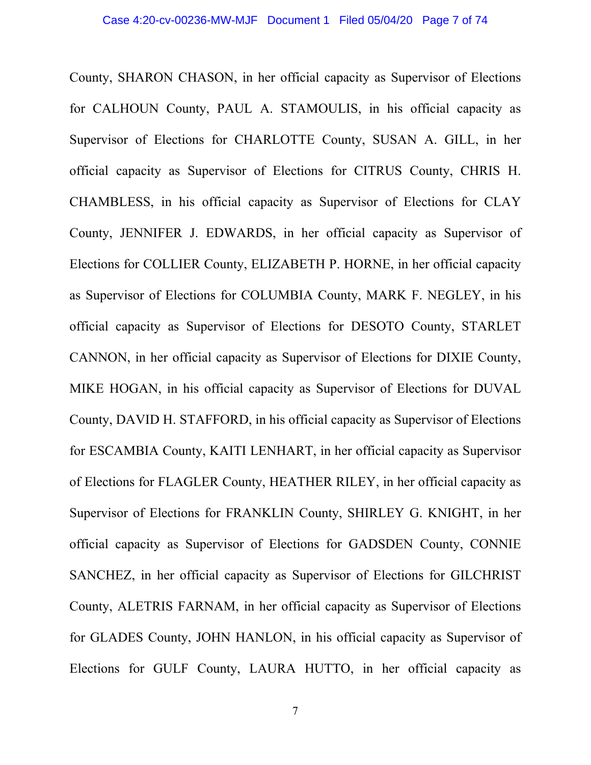County, SHARON CHASON, in her official capacity as Supervisor of Elections for CALHOUN County, PAUL A. STAMOULIS, in his official capacity as Supervisor of Elections for CHARLOTTE County, SUSAN A. GILL, in her official capacity as Supervisor of Elections for CITRUS County, CHRIS H. CHAMBLESS, in his official capacity as Supervisor of Elections for CLAY County, JENNIFER J. EDWARDS, in her official capacity as Supervisor of Elections for COLLIER County, ELIZABETH P. HORNE, in her official capacity as Supervisor of Elections for COLUMBIA County, MARK F. NEGLEY, in his official capacity as Supervisor of Elections for DESOTO County, STARLET CANNON, in her official capacity as Supervisor of Elections for DIXIE County, MIKE HOGAN, in his official capacity as Supervisor of Elections for DUVAL County, DAVID H. STAFFORD, in his official capacity as Supervisor of Elections for ESCAMBIA County, KAITI LENHART, in her official capacity as Supervisor of Elections for FLAGLER County, HEATHER RILEY, in her official capacity as Supervisor of Elections for FRANKLIN County, SHIRLEY G. KNIGHT, in her official capacity as Supervisor of Elections for GADSDEN County, CONNIE SANCHEZ, in her official capacity as Supervisor of Elections for GILCHRIST County, ALETRIS FARNAM, in her official capacity as Supervisor of Elections for GLADES County, JOHN HANLON, in his official capacity as Supervisor of Elections for GULF County, LAURA HUTTO, in her official capacity as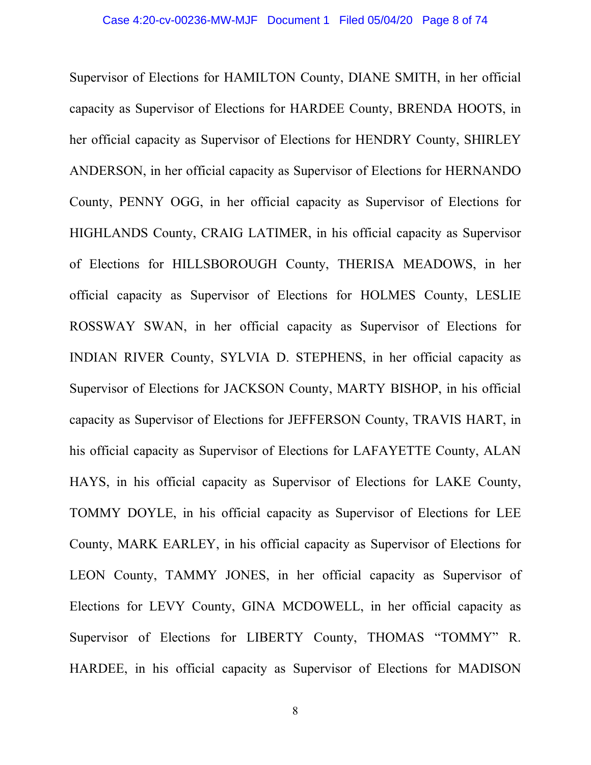Supervisor of Elections for HAMILTON County, DIANE SMITH, in her official capacity as Supervisor of Elections for HARDEE County, BRENDA HOOTS, in her official capacity as Supervisor of Elections for HENDRY County, SHIRLEY ANDERSON, in her official capacity as Supervisor of Elections for HERNANDO County, PENNY OGG, in her official capacity as Supervisor of Elections for HIGHLANDS County, CRAIG LATIMER, in his official capacity as Supervisor of Elections for HILLSBOROUGH County, THERISA MEADOWS, in her official capacity as Supervisor of Elections for HOLMES County, LESLIE ROSSWAY SWAN, in her official capacity as Supervisor of Elections for INDIAN RIVER County, SYLVIA D. STEPHENS, in her official capacity as Supervisor of Elections for JACKSON County, MARTY BISHOP, in his official capacity as Supervisor of Elections for JEFFERSON County, TRAVIS HART, in his official capacity as Supervisor of Elections for LAFAYETTE County, ALAN HAYS, in his official capacity as Supervisor of Elections for LAKE County, TOMMY DOYLE, in his official capacity as Supervisor of Elections for LEE County, MARK EARLEY, in his official capacity as Supervisor of Elections for LEON County, TAMMY JONES, in her official capacity as Supervisor of Elections for LEVY County, GINA MCDOWELL, in her official capacity as Supervisor of Elections for LIBERTY County, THOMAS "TOMMY" R. HARDEE, in his official capacity as Supervisor of Elections for MADISON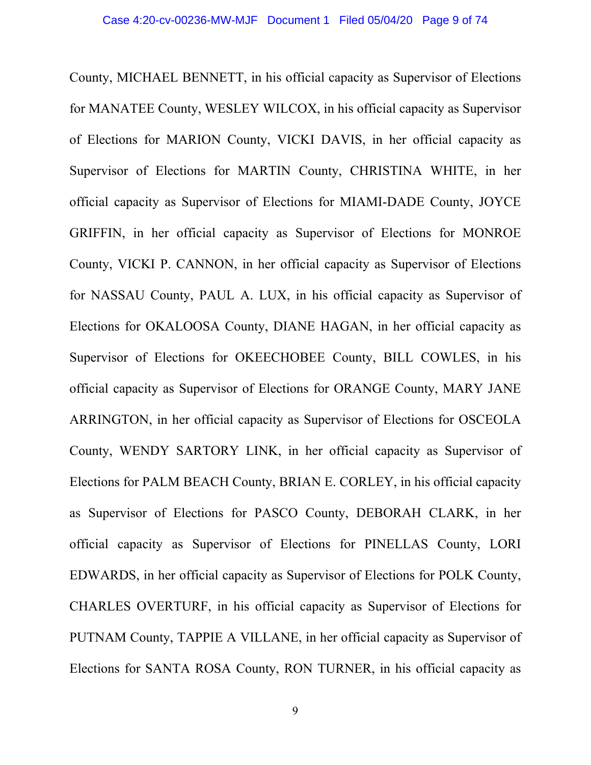County, MICHAEL BENNETT, in his official capacity as Supervisor of Elections for MANATEE County, WESLEY WILCOX, in his official capacity as Supervisor of Elections for MARION County, VICKI DAVIS, in her official capacity as Supervisor of Elections for MARTIN County, CHRISTINA WHITE, in her official capacity as Supervisor of Elections for MIAMI-DADE County, JOYCE GRIFFIN, in her official capacity as Supervisor of Elections for MONROE County, VICKI P. CANNON, in her official capacity as Supervisor of Elections for NASSAU County, PAUL A. LUX, in his official capacity as Supervisor of Elections for OKALOOSA County, DIANE HAGAN, in her official capacity as Supervisor of Elections for OKEECHOBEE County, BILL COWLES, in his official capacity as Supervisor of Elections for ORANGE County, MARY JANE ARRINGTON, in her official capacity as Supervisor of Elections for OSCEOLA County, WENDY SARTORY LINK, in her official capacity as Supervisor of Elections for PALM BEACH County, BRIAN E. CORLEY, in his official capacity as Supervisor of Elections for PASCO County, DEBORAH CLARK, in her official capacity as Supervisor of Elections for PINELLAS County, LORI EDWARDS, in her official capacity as Supervisor of Elections for POLK County, CHARLES OVERTURF, in his official capacity as Supervisor of Elections for PUTNAM County, TAPPIE A VILLANE, in her official capacity as Supervisor of Elections for SANTA ROSA County, RON TURNER, in his official capacity as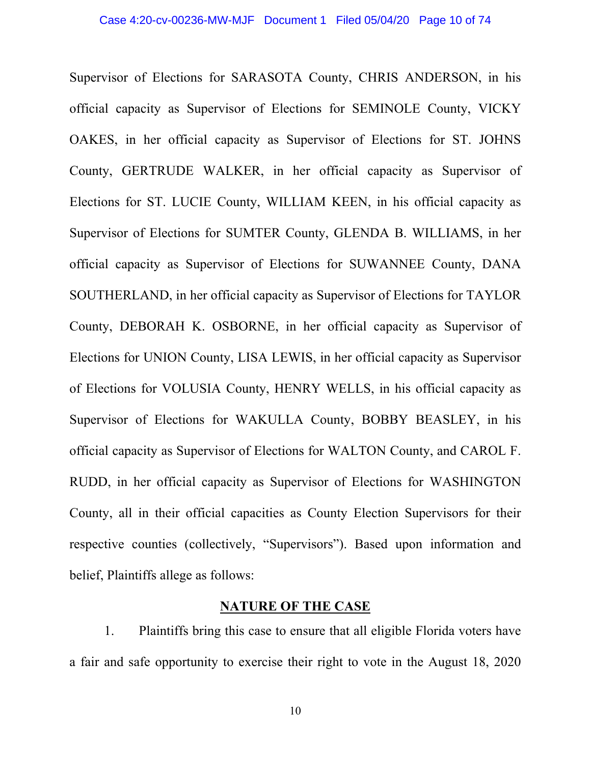Supervisor of Elections for SARASOTA County, CHRIS ANDERSON, in his official capacity as Supervisor of Elections for SEMINOLE County, VICKY OAKES, in her official capacity as Supervisor of Elections for ST. JOHNS County, GERTRUDE WALKER, in her official capacity as Supervisor of Elections for ST. LUCIE County, WILLIAM KEEN, in his official capacity as Supervisor of Elections for SUMTER County, GLENDA B. WILLIAMS, in her official capacity as Supervisor of Elections for SUWANNEE County, DANA SOUTHERLAND, in her official capacity as Supervisor of Elections for TAYLOR County, DEBORAH K. OSBORNE, in her official capacity as Supervisor of Elections for UNION County, LISA LEWIS, in her official capacity as Supervisor of Elections for VOLUSIA County, HENRY WELLS, in his official capacity as Supervisor of Elections for WAKULLA County, BOBBY BEASLEY, in his official capacity as Supervisor of Elections for WALTON County, and CAROL F. RUDD, in her official capacity as Supervisor of Elections for WASHINGTON County, all in their official capacities as County Election Supervisors for their respective counties (collectively, "Supervisors"). Based upon information and belief, Plaintiffs allege as follows:

# **NATURE OF THE CASE**

1. Plaintiffs bring this case to ensure that all eligible Florida voters have a fair and safe opportunity to exercise their right to vote in the August 18, 2020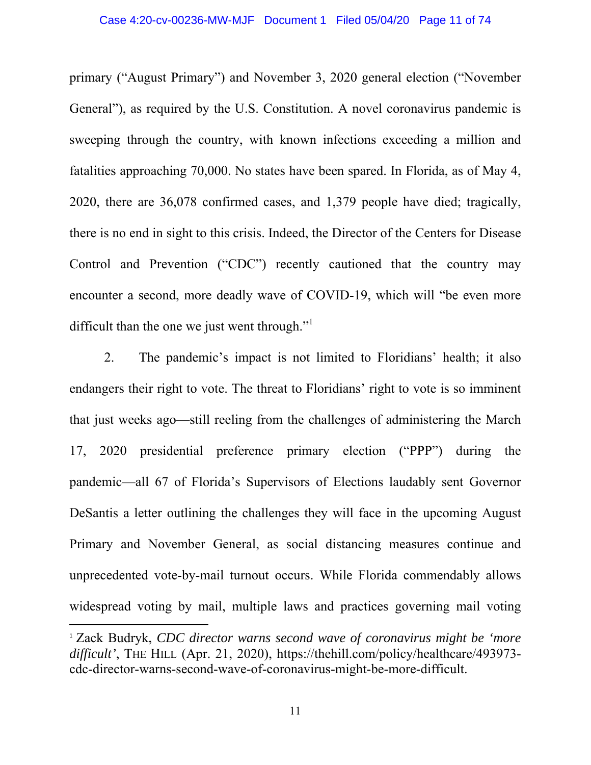primary ("August Primary") and November 3, 2020 general election ("November General"), as required by the U.S. Constitution. A novel coronavirus pandemic is sweeping through the country, with known infections exceeding a million and fatalities approaching 70,000. No states have been spared. In Florida, as of May 4, 2020, there are 36,078 confirmed cases, and 1,379 people have died; tragically, there is no end in sight to this crisis. Indeed, the Director of the Centers for Disease Control and Prevention ("CDC") recently cautioned that the country may encounter a second, more deadly wave of COVID-19, which will "be even more difficult than the one we just went through."<sup>1</sup>

2. The pandemic's impact is not limited to Floridians' health; it also endangers their right to vote. The threat to Floridians' right to vote is so imminent that just weeks ago⸺still reeling from the challenges of administering the March 17, 2020 presidential preference primary election ("PPP") during the pandemic⸺all 67 of Florida's Supervisors of Elections laudably sent Governor DeSantis a letter outlining the challenges they will face in the upcoming August Primary and November General, as social distancing measures continue and unprecedented vote-by-mail turnout occurs. While Florida commendably allows widespread voting by mail, multiple laws and practices governing mail voting

<sup>1</sup> Zack Budryk, *CDC director warns second wave of coronavirus might be 'more*  difficult', THE HILL (Apr. 21, 2020), https://thehill.com/policy/healthcare/493973cdc-director-warns-second-wave-of-coronavirus-might-be-more-difficult.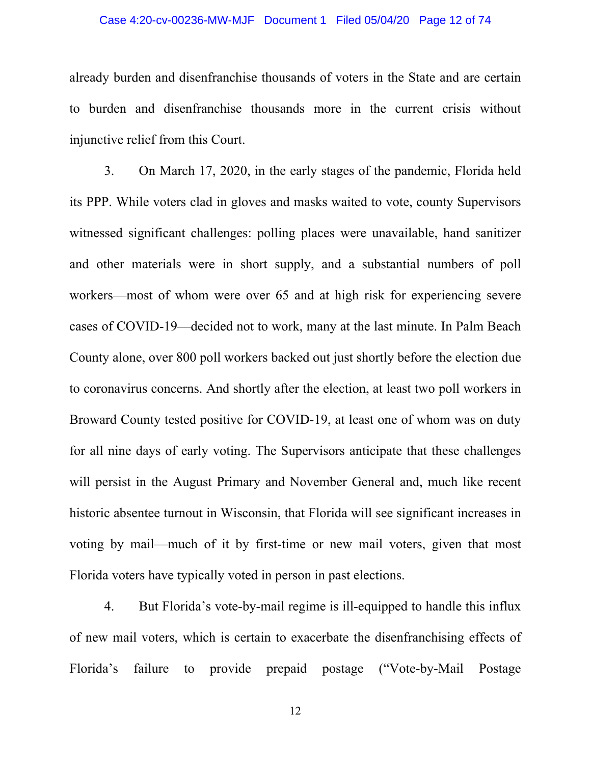# Case 4:20-cv-00236-MW-MJF Document 1 Filed 05/04/20 Page 12 of 74

already burden and disenfranchise thousands of voters in the State and are certain to burden and disenfranchise thousands more in the current crisis without injunctive relief from this Court.

3. On March 17, 2020, in the early stages of the pandemic, Florida held its PPP. While voters clad in gloves and masks waited to vote, county Supervisors witnessed significant challenges: polling places were unavailable, hand sanitizer and other materials were in short supply, and a substantial numbers of poll workers⸺most of whom were over 65 and at high risk for experiencing severe cases of COVID-19⸺decided not to work, many at the last minute. In Palm Beach County alone, over 800 poll workers backed out just shortly before the election due to coronavirus concerns. And shortly after the election, at least two poll workers in Broward County tested positive for COVID-19, at least one of whom was on duty for all nine days of early voting. The Supervisors anticipate that these challenges will persist in the August Primary and November General and, much like recent historic absentee turnout in Wisconsin, that Florida will see significant increases in voting by mail⸺much of it by first-time or new mail voters, given that most Florida voters have typically voted in person in past elections.

4. But Florida's vote-by-mail regime is ill-equipped to handle this influx of new mail voters, which is certain to exacerbate the disenfranchising effects of Florida's failure to provide prepaid postage ("Vote-by-Mail Postage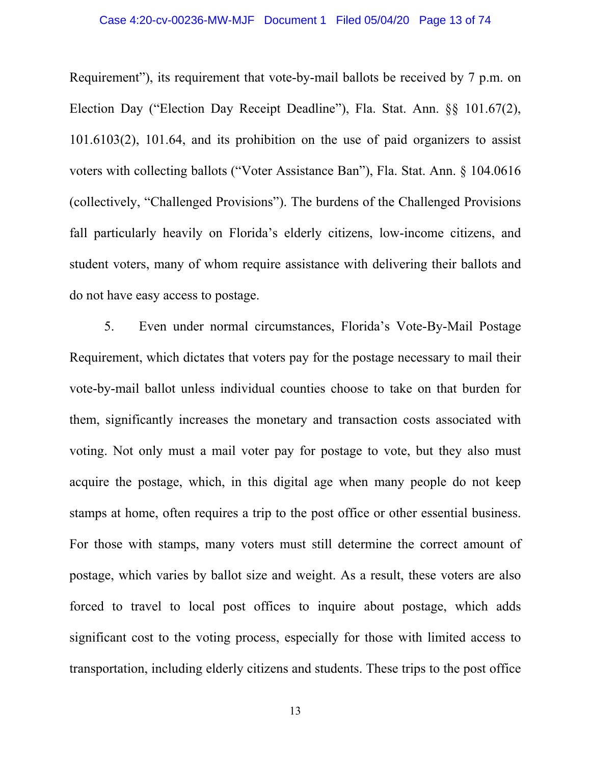# Case 4:20-cv-00236-MW-MJF Document 1 Filed 05/04/20 Page 13 of 74

Requirement"), its requirement that vote-by-mail ballots be received by 7 p.m. on Election Day ("Election Day Receipt Deadline"), Fla. Stat. Ann. §§ 101.67(2), 101.6103(2), 101.64, and its prohibition on the use of paid organizers to assist voters with collecting ballots ("Voter Assistance Ban"), Fla. Stat. Ann. § 104.0616 (collectively, "Challenged Provisions"). The burdens of the Challenged Provisions fall particularly heavily on Florida's elderly citizens, low-income citizens, and student voters, many of whom require assistance with delivering their ballots and do not have easy access to postage.

5. Even under normal circumstances, Florida's Vote-By-Mail Postage Requirement, which dictates that voters pay for the postage necessary to mail their vote-by-mail ballot unless individual counties choose to take on that burden for them, significantly increases the monetary and transaction costs associated with voting. Not only must a mail voter pay for postage to vote, but they also must acquire the postage, which, in this digital age when many people do not keep stamps at home, often requires a trip to the post office or other essential business. For those with stamps, many voters must still determine the correct amount of postage, which varies by ballot size and weight. As a result, these voters are also forced to travel to local post offices to inquire about postage, which adds significant cost to the voting process, especially for those with limited access to transportation, including elderly citizens and students. These trips to the post office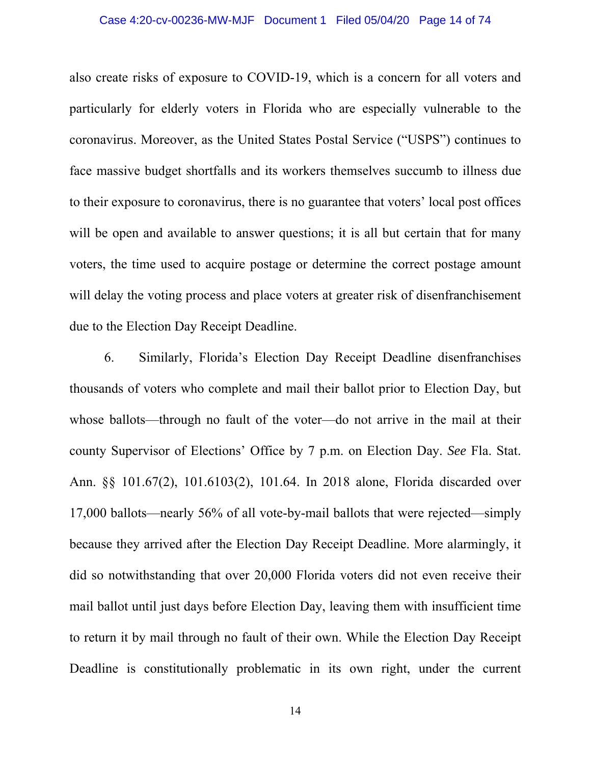# Case 4:20-cv-00236-MW-MJF Document 1 Filed 05/04/20 Page 14 of 74

also create risks of exposure to COVID-19, which is a concern for all voters and particularly for elderly voters in Florida who are especially vulnerable to the coronavirus. Moreover, as the United States Postal Service ("USPS") continues to face massive budget shortfalls and its workers themselves succumb to illness due to their exposure to coronavirus, there is no guarantee that voters' local post offices will be open and available to answer questions; it is all but certain that for many voters, the time used to acquire postage or determine the correct postage amount will delay the voting process and place voters at greater risk of disenfranchisement due to the Election Day Receipt Deadline.

6. Similarly, Florida's Election Day Receipt Deadline disenfranchises thousands of voters who complete and mail their ballot prior to Election Day, but whose ballots—through no fault of the voter—do not arrive in the mail at their county Supervisor of Elections' Office by 7 p.m. on Election Day. *See* Fla. Stat. Ann. §§ 101.67(2), 101.6103(2), 101.64. In 2018 alone, Florida discarded over 17,000 ballots⸺nearly 56% of all vote-by-mail ballots that were rejected⸺simply because they arrived after the Election Day Receipt Deadline. More alarmingly, it did so notwithstanding that over 20,000 Florida voters did not even receive their mail ballot until just days before Election Day, leaving them with insufficient time to return it by mail through no fault of their own. While the Election Day Receipt Deadline is constitutionally problematic in its own right, under the current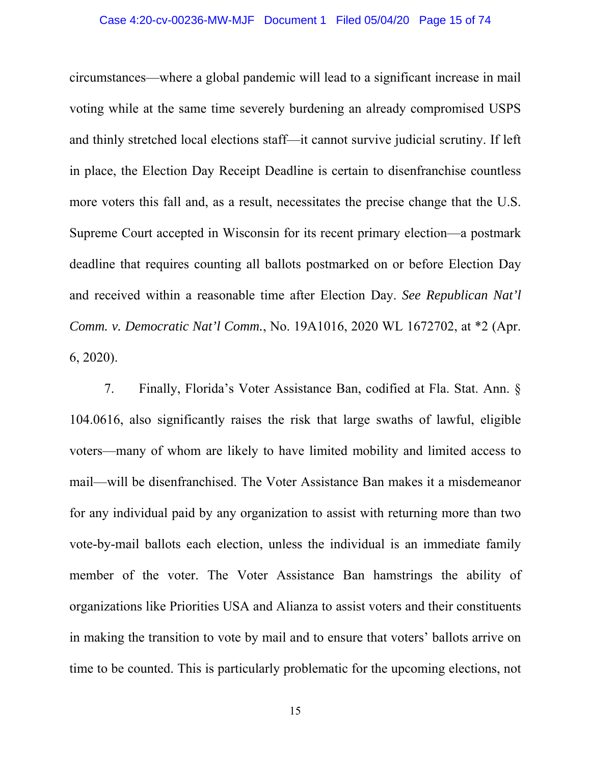# Case 4:20-cv-00236-MW-MJF Document 1 Filed 05/04/20 Page 15 of 74

circumstances⸺where a global pandemic will lead to a significant increase in mail voting while at the same time severely burdening an already compromised USPS and thinly stretched local elections staff⸺it cannot survive judicial scrutiny. If left in place, the Election Day Receipt Deadline is certain to disenfranchise countless more voters this fall and, as a result, necessitates the precise change that the U.S. Supreme Court accepted in Wisconsin for its recent primary election⸺a postmark deadline that requires counting all ballots postmarked on or before Election Day and received within a reasonable time after Election Day. *See Republican Nat'l Comm. v. Democratic Nat'l Comm.*, No. 19A1016, 2020 WL 1672702, at \*2 (Apr. 6, 2020).

7. Finally, Florida's Voter Assistance Ban, codified at Fla. Stat. Ann. § 104.0616, also significantly raises the risk that large swaths of lawful, eligible voters⸺many of whom are likely to have limited mobility and limited access to mail⸺will be disenfranchised. The Voter Assistance Ban makes it a misdemeanor for any individual paid by any organization to assist with returning more than two vote-by-mail ballots each election, unless the individual is an immediate family member of the voter. The Voter Assistance Ban hamstrings the ability of organizations like Priorities USA and Alianza to assist voters and their constituents in making the transition to vote by mail and to ensure that voters' ballots arrive on time to be counted. This is particularly problematic for the upcoming elections, not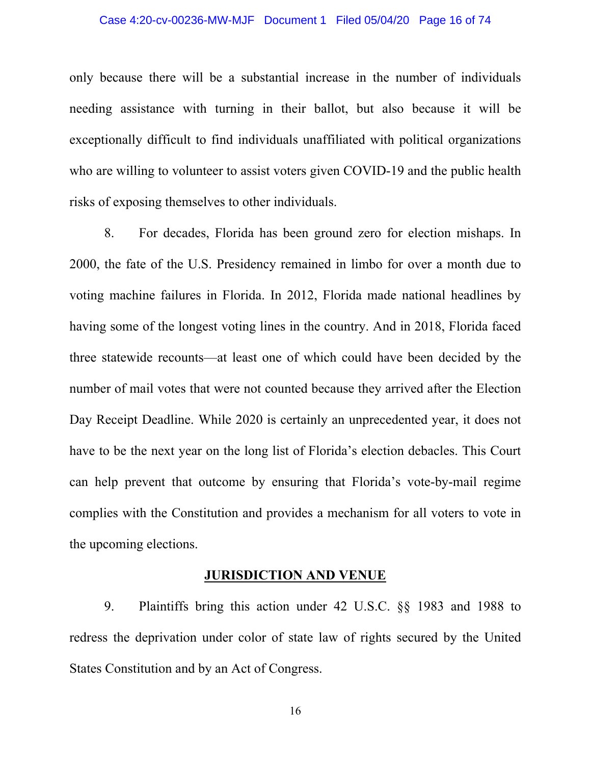#### Case 4:20-cv-00236-MW-MJF Document 1 Filed 05/04/20 Page 16 of 74

only because there will be a substantial increase in the number of individuals needing assistance with turning in their ballot, but also because it will be exceptionally difficult to find individuals unaffiliated with political organizations who are willing to volunteer to assist voters given COVID-19 and the public health risks of exposing themselves to other individuals.

8. For decades, Florida has been ground zero for election mishaps. In 2000, the fate of the U.S. Presidency remained in limbo for over a month due to voting machine failures in Florida. In 2012, Florida made national headlines by having some of the longest voting lines in the country. And in 2018, Florida faced three statewide recounts⸺at least one of which could have been decided by the number of mail votes that were not counted because they arrived after the Election Day Receipt Deadline. While 2020 is certainly an unprecedented year, it does not have to be the next year on the long list of Florida's election debacles. This Court can help prevent that outcome by ensuring that Florida's vote-by-mail regime complies with the Constitution and provides a mechanism for all voters to vote in the upcoming elections.

#### **JURISDICTION AND VENUE**

9. Plaintiffs bring this action under 42 U.S.C. §§ 1983 and 1988 to redress the deprivation under color of state law of rights secured by the United States Constitution and by an Act of Congress.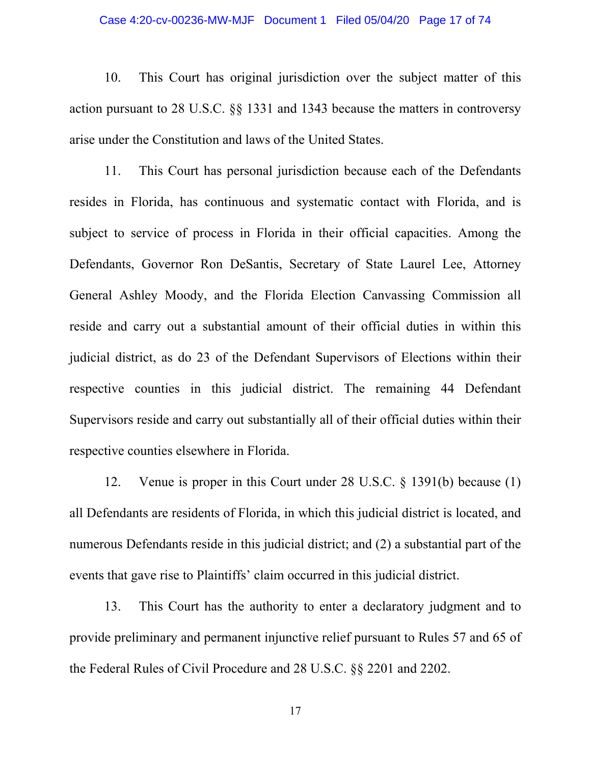# Case 4:20-cv-00236-MW-MJF Document 1 Filed 05/04/20 Page 17 of 74

10. This Court has original jurisdiction over the subject matter of this action pursuant to 28 U.S.C. §§ 1331 and 1343 because the matters in controversy arise under the Constitution and laws of the United States.

11. This Court has personal jurisdiction because each of the Defendants resides in Florida, has continuous and systematic contact with Florida, and is subject to service of process in Florida in their official capacities. Among the Defendants, Governor Ron DeSantis, Secretary of State Laurel Lee, Attorney General Ashley Moody, and the Florida Election Canvassing Commission all reside and carry out a substantial amount of their official duties in within this judicial district, as do 23 of the Defendant Supervisors of Elections within their respective counties in this judicial district. The remaining 44 Defendant Supervisors reside and carry out substantially all of their official duties within their respective counties elsewhere in Florida.

12. Venue is proper in this Court under 28 U.S.C. § 1391(b) because (1) all Defendants are residents of Florida, in which this judicial district is located, and numerous Defendants reside in this judicial district; and (2) a substantial part of the events that gave rise to Plaintiffs' claim occurred in this judicial district.

13. This Court has the authority to enter a declaratory judgment and to provide preliminary and permanent injunctive relief pursuant to Rules 57 and 65 of the Federal Rules of Civil Procedure and 28 U.S.C. §§ 2201 and 2202.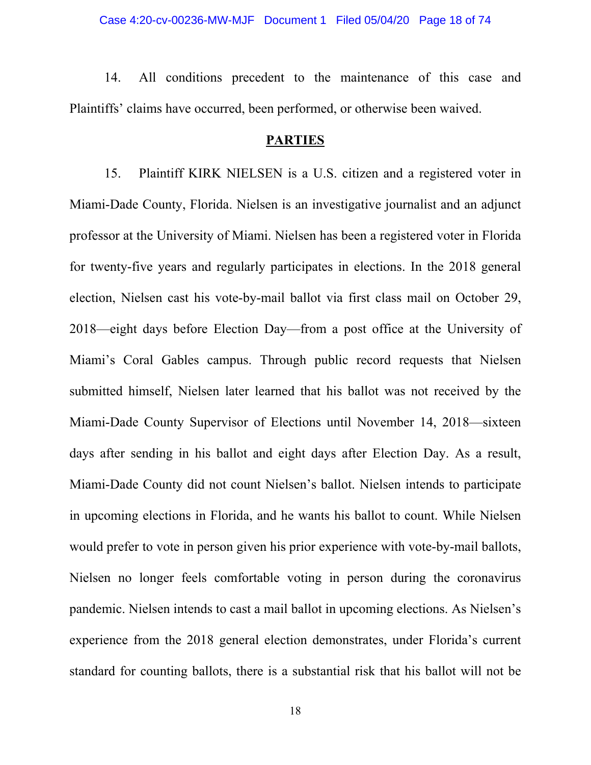14. All conditions precedent to the maintenance of this case and Plaintiffs' claims have occurred, been performed, or otherwise been waived.

# **PARTIES**

15. Plaintiff KIRK NIELSEN is a U.S. citizen and a registered voter in Miami-Dade County, Florida. Nielsen is an investigative journalist and an adjunct professor at the University of Miami. Nielsen has been a registered voter in Florida for twenty-five years and regularly participates in elections. In the 2018 general election, Nielsen cast his vote-by-mail ballot via first class mail on October 29, 2018—eight days before Election Day—from a post office at the University of Miami's Coral Gables campus. Through public record requests that Nielsen submitted himself, Nielsen later learned that his ballot was not received by the Miami-Dade County Supervisor of Elections until November 14, 2018—sixteen days after sending in his ballot and eight days after Election Day. As a result, Miami-Dade County did not count Nielsen's ballot. Nielsen intends to participate in upcoming elections in Florida, and he wants his ballot to count. While Nielsen would prefer to vote in person given his prior experience with vote-by-mail ballots, Nielsen no longer feels comfortable voting in person during the coronavirus pandemic. Nielsen intends to cast a mail ballot in upcoming elections. As Nielsen's experience from the 2018 general election demonstrates, under Florida's current standard for counting ballots, there is a substantial risk that his ballot will not be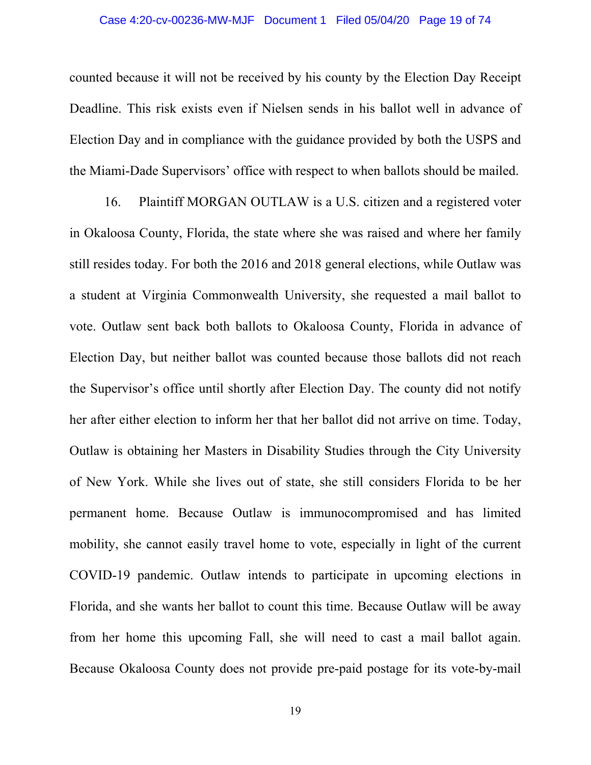#### Case 4:20-cv-00236-MW-MJF Document 1 Filed 05/04/20 Page 19 of 74

counted because it will not be received by his county by the Election Day Receipt Deadline. This risk exists even if Nielsen sends in his ballot well in advance of Election Day and in compliance with the guidance provided by both the USPS and the Miami-Dade Supervisors' office with respect to when ballots should be mailed.

16. Plaintiff MORGAN OUTLAW is a U.S. citizen and a registered voter in Okaloosa County, Florida, the state where she was raised and where her family still resides today. For both the 2016 and 2018 general elections, while Outlaw was a student at Virginia Commonwealth University, she requested a mail ballot to vote. Outlaw sent back both ballots to Okaloosa County, Florida in advance of Election Day, but neither ballot was counted because those ballots did not reach the Supervisor's office until shortly after Election Day. The county did not notify her after either election to inform her that her ballot did not arrive on time. Today, Outlaw is obtaining her Masters in Disability Studies through the City University of New York. While she lives out of state, she still considers Florida to be her permanent home. Because Outlaw is immunocompromised and has limited mobility, she cannot easily travel home to vote, especially in light of the current COVID-19 pandemic. Outlaw intends to participate in upcoming elections in Florida, and she wants her ballot to count this time. Because Outlaw will be away from her home this upcoming Fall, she will need to cast a mail ballot again. Because Okaloosa County does not provide pre-paid postage for its vote-by-mail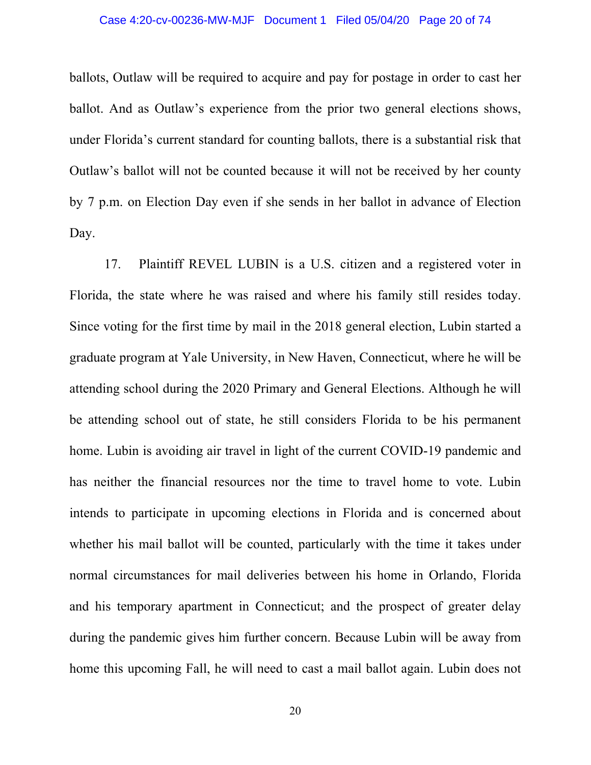#### Case 4:20-cv-00236-MW-MJF Document 1 Filed 05/04/20 Page 20 of 74

ballots, Outlaw will be required to acquire and pay for postage in order to cast her ballot. And as Outlaw's experience from the prior two general elections shows, under Florida's current standard for counting ballots, there is a substantial risk that Outlaw's ballot will not be counted because it will not be received by her county by 7 p.m. on Election Day even if she sends in her ballot in advance of Election Day.

17. Plaintiff REVEL LUBIN is a U.S. citizen and a registered voter in Florida, the state where he was raised and where his family still resides today. Since voting for the first time by mail in the 2018 general election, Lubin started a graduate program at Yale University, in New Haven, Connecticut, where he will be attending school during the 2020 Primary and General Elections. Although he will be attending school out of state, he still considers Florida to be his permanent home. Lubin is avoiding air travel in light of the current COVID-19 pandemic and has neither the financial resources nor the time to travel home to vote. Lubin intends to participate in upcoming elections in Florida and is concerned about whether his mail ballot will be counted, particularly with the time it takes under normal circumstances for mail deliveries between his home in Orlando, Florida and his temporary apartment in Connecticut; and the prospect of greater delay during the pandemic gives him further concern. Because Lubin will be away from home this upcoming Fall, he will need to cast a mail ballot again. Lubin does not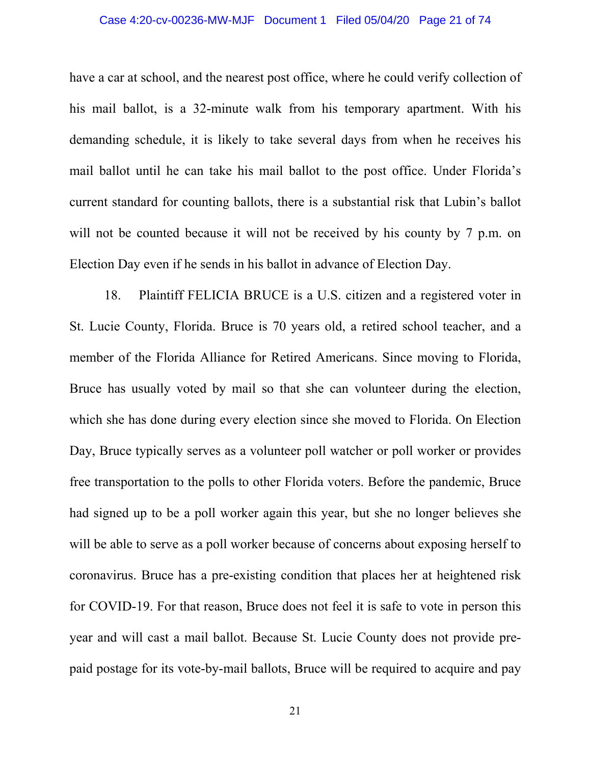#### Case 4:20-cv-00236-MW-MJF Document 1 Filed 05/04/20 Page 21 of 74

have a car at school, and the nearest post office, where he could verify collection of his mail ballot, is a 32-minute walk from his temporary apartment. With his demanding schedule, it is likely to take several days from when he receives his mail ballot until he can take his mail ballot to the post office. Under Florida's current standard for counting ballots, there is a substantial risk that Lubin's ballot will not be counted because it will not be received by his county by 7 p.m. on Election Day even if he sends in his ballot in advance of Election Day.

18. Plaintiff FELICIA BRUCE is a U.S. citizen and a registered voter in St. Lucie County, Florida. Bruce is 70 years old, a retired school teacher, and a member of the Florida Alliance for Retired Americans. Since moving to Florida, Bruce has usually voted by mail so that she can volunteer during the election, which she has done during every election since she moved to Florida. On Election Day, Bruce typically serves as a volunteer poll watcher or poll worker or provides free transportation to the polls to other Florida voters. Before the pandemic, Bruce had signed up to be a poll worker again this year, but she no longer believes she will be able to serve as a poll worker because of concerns about exposing herself to coronavirus. Bruce has a pre-existing condition that places her at heightened risk for COVID-19. For that reason, Bruce does not feel it is safe to vote in person this year and will cast a mail ballot. Because St. Lucie County does not provide prepaid postage for its vote-by-mail ballots, Bruce will be required to acquire and pay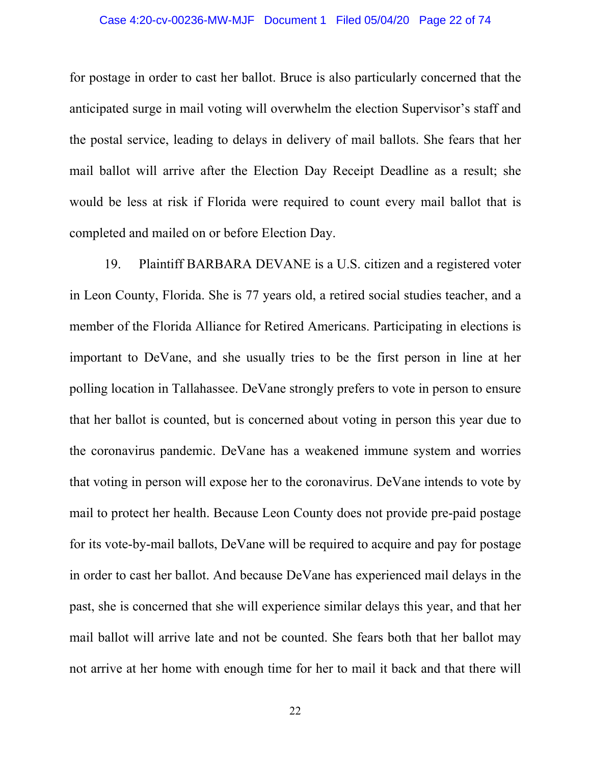# Case 4:20-cv-00236-MW-MJF Document 1 Filed 05/04/20 Page 22 of 74

for postage in order to cast her ballot. Bruce is also particularly concerned that the anticipated surge in mail voting will overwhelm the election Supervisor's staff and the postal service, leading to delays in delivery of mail ballots. She fears that her mail ballot will arrive after the Election Day Receipt Deadline as a result; she would be less at risk if Florida were required to count every mail ballot that is completed and mailed on or before Election Day.

19. Plaintiff BARBARA DEVANE is a U.S. citizen and a registered voter in Leon County, Florida. She is 77 years old, a retired social studies teacher, and a member of the Florida Alliance for Retired Americans. Participating in elections is important to DeVane, and she usually tries to be the first person in line at her polling location in Tallahassee. DeVane strongly prefers to vote in person to ensure that her ballot is counted, but is concerned about voting in person this year due to the coronavirus pandemic. DeVane has a weakened immune system and worries that voting in person will expose her to the coronavirus. DeVane intends to vote by mail to protect her health. Because Leon County does not provide pre-paid postage for its vote-by-mail ballots, DeVane will be required to acquire and pay for postage in order to cast her ballot. And because DeVane has experienced mail delays in the past, she is concerned that she will experience similar delays this year, and that her mail ballot will arrive late and not be counted. She fears both that her ballot may not arrive at her home with enough time for her to mail it back and that there will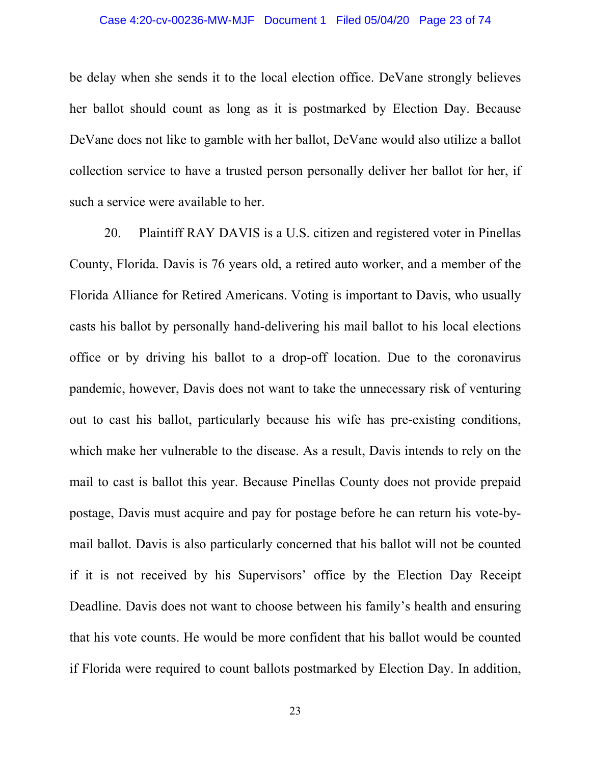be delay when she sends it to the local election office. DeVane strongly believes her ballot should count as long as it is postmarked by Election Day. Because DeVane does not like to gamble with her ballot, DeVane would also utilize a ballot collection service to have a trusted person personally deliver her ballot for her, if such a service were available to her.

20. Plaintiff RAY DAVIS is a U.S. citizen and registered voter in Pinellas County, Florida. Davis is 76 years old, a retired auto worker, and a member of the Florida Alliance for Retired Americans. Voting is important to Davis, who usually casts his ballot by personally hand-delivering his mail ballot to his local elections office or by driving his ballot to a drop-off location. Due to the coronavirus pandemic, however, Davis does not want to take the unnecessary risk of venturing out to cast his ballot, particularly because his wife has pre-existing conditions, which make her vulnerable to the disease. As a result, Davis intends to rely on the mail to cast is ballot this year. Because Pinellas County does not provide prepaid postage, Davis must acquire and pay for postage before he can return his vote-bymail ballot. Davis is also particularly concerned that his ballot will not be counted if it is not received by his Supervisors' office by the Election Day Receipt Deadline. Davis does not want to choose between his family's health and ensuring that his vote counts. He would be more confident that his ballot would be counted if Florida were required to count ballots postmarked by Election Day. In addition,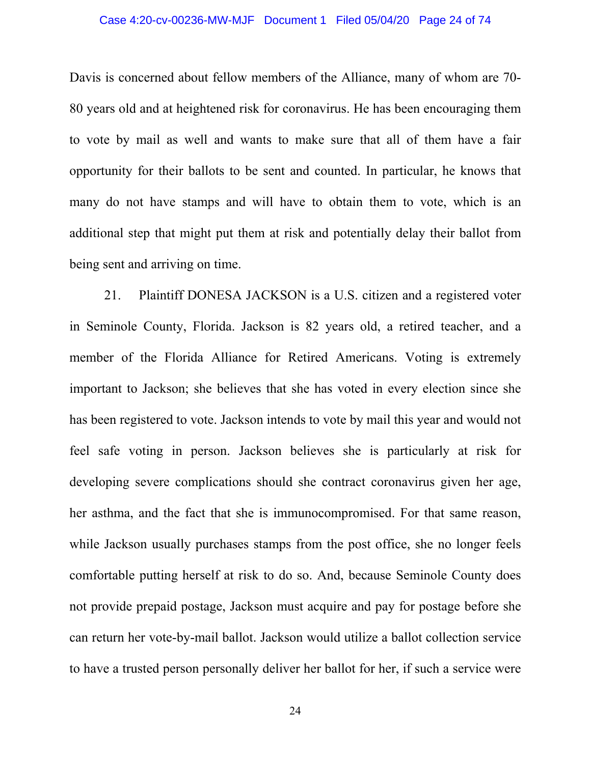#### Case 4:20-cv-00236-MW-MJF Document 1 Filed 05/04/20 Page 24 of 74

Davis is concerned about fellow members of the Alliance, many of whom are 70- 80 years old and at heightened risk for coronavirus. He has been encouraging them to vote by mail as well and wants to make sure that all of them have a fair opportunity for their ballots to be sent and counted. In particular, he knows that many do not have stamps and will have to obtain them to vote, which is an additional step that might put them at risk and potentially delay their ballot from being sent and arriving on time.

21. Plaintiff DONESA JACKSON is a U.S. citizen and a registered voter in Seminole County, Florida. Jackson is 82 years old, a retired teacher, and a member of the Florida Alliance for Retired Americans. Voting is extremely important to Jackson; she believes that she has voted in every election since she has been registered to vote. Jackson intends to vote by mail this year and would not feel safe voting in person. Jackson believes she is particularly at risk for developing severe complications should she contract coronavirus given her age, her asthma, and the fact that she is immunocompromised. For that same reason, while Jackson usually purchases stamps from the post office, she no longer feels comfortable putting herself at risk to do so. And, because Seminole County does not provide prepaid postage, Jackson must acquire and pay for postage before she can return her vote-by-mail ballot. Jackson would utilize a ballot collection service to have a trusted person personally deliver her ballot for her, if such a service were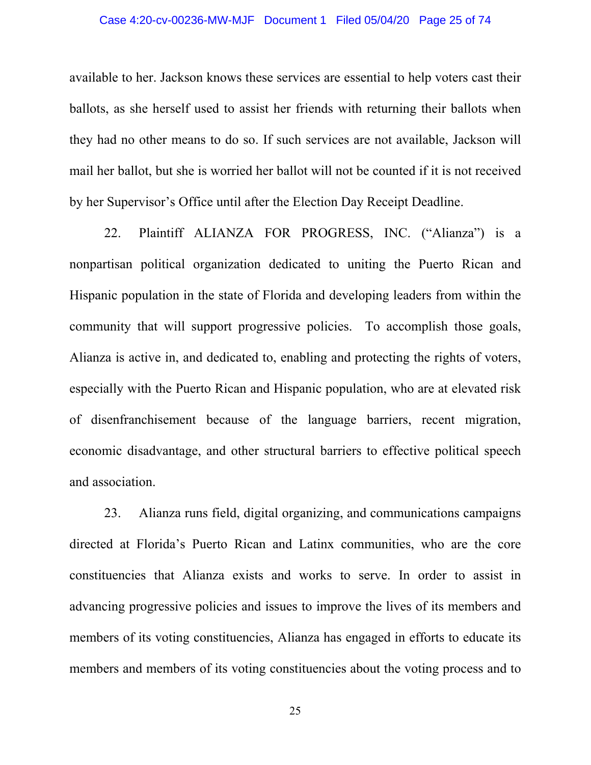# Case 4:20-cv-00236-MW-MJF Document 1 Filed 05/04/20 Page 25 of 74

available to her. Jackson knows these services are essential to help voters cast their ballots, as she herself used to assist her friends with returning their ballots when they had no other means to do so. If such services are not available, Jackson will mail her ballot, but she is worried her ballot will not be counted if it is not received by her Supervisor's Office until after the Election Day Receipt Deadline.

22. Plaintiff ALIANZA FOR PROGRESS, INC. ("Alianza") is a nonpartisan political organization dedicated to uniting the Puerto Rican and Hispanic population in the state of Florida and developing leaders from within the community that will support progressive policies. To accomplish those goals, Alianza is active in, and dedicated to, enabling and protecting the rights of voters, especially with the Puerto Rican and Hispanic population, who are at elevated risk of disenfranchisement because of the language barriers, recent migration, economic disadvantage, and other structural barriers to effective political speech and association.

23. Alianza runs field, digital organizing, and communications campaigns directed at Florida's Puerto Rican and Latinx communities, who are the core constituencies that Alianza exists and works to serve. In order to assist in advancing progressive policies and issues to improve the lives of its members and members of its voting constituencies, Alianza has engaged in efforts to educate its members and members of its voting constituencies about the voting process and to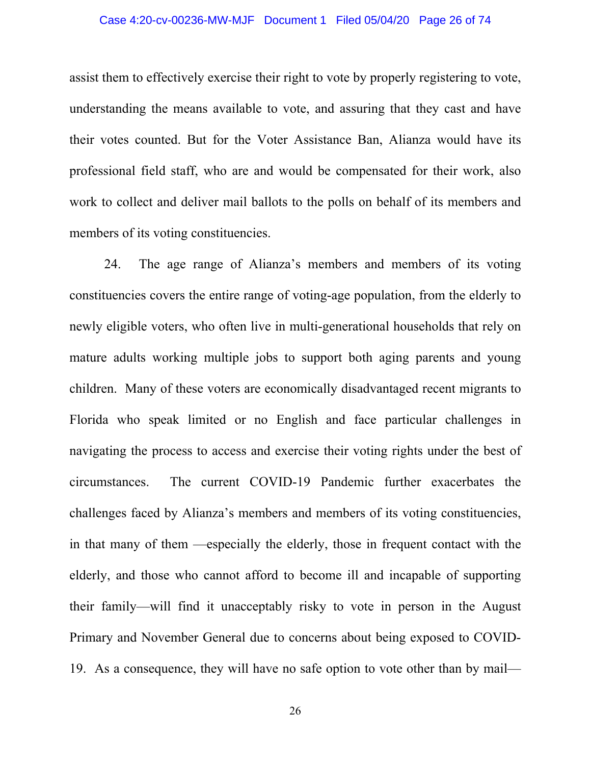# Case 4:20-cv-00236-MW-MJF Document 1 Filed 05/04/20 Page 26 of 74

assist them to effectively exercise their right to vote by properly registering to vote, understanding the means available to vote, and assuring that they cast and have their votes counted. But for the Voter Assistance Ban, Alianza would have its professional field staff, who are and would be compensated for their work, also work to collect and deliver mail ballots to the polls on behalf of its members and members of its voting constituencies.

24. The age range of Alianza's members and members of its voting constituencies covers the entire range of voting-age population, from the elderly to newly eligible voters, who often live in multi-generational households that rely on mature adults working multiple jobs to support both aging parents and young children. Many of these voters are economically disadvantaged recent migrants to Florida who speak limited or no English and face particular challenges in navigating the process to access and exercise their voting rights under the best of circumstances. The current COVID-19 Pandemic further exacerbates the challenges faced by Alianza's members and members of its voting constituencies, in that many of them —especially the elderly, those in frequent contact with the elderly, and those who cannot afford to become ill and incapable of supporting their family—will find it unacceptably risky to vote in person in the August Primary and November General due to concerns about being exposed to COVID-19. As a consequence, they will have no safe option to vote other than by mail—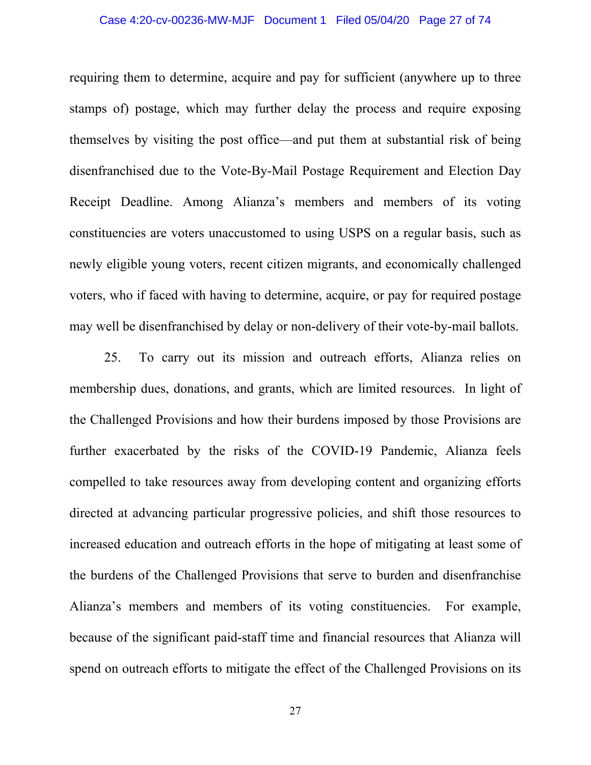# Case 4:20-cv-00236-MW-MJF Document 1 Filed 05/04/20 Page 27 of 74

requiring them to determine, acquire and pay for sufficient (anywhere up to three stamps of) postage, which may further delay the process and require exposing themselves by visiting the post office—and put them at substantial risk of being disenfranchised due to the Vote-By-Mail Postage Requirement and Election Day Receipt Deadline. Among Alianza's members and members of its voting constituencies are voters unaccustomed to using USPS on a regular basis, such as newly eligible young voters, recent citizen migrants, and economically challenged voters, who if faced with having to determine, acquire, or pay for required postage may well be disenfranchised by delay or non-delivery of their vote-by-mail ballots.

25. To carry out its mission and outreach efforts, Alianza relies on membership dues, donations, and grants, which are limited resources. In light of the Challenged Provisions and how their burdens imposed by those Provisions are further exacerbated by the risks of the COVID-19 Pandemic, Alianza feels compelled to take resources away from developing content and organizing efforts directed at advancing particular progressive policies, and shift those resources to increased education and outreach efforts in the hope of mitigating at least some of the burdens of the Challenged Provisions that serve to burden and disenfranchise Alianza's members and members of its voting constituencies. For example, because of the significant paid-staff time and financial resources that Alianza will spend on outreach efforts to mitigate the effect of the Challenged Provisions on its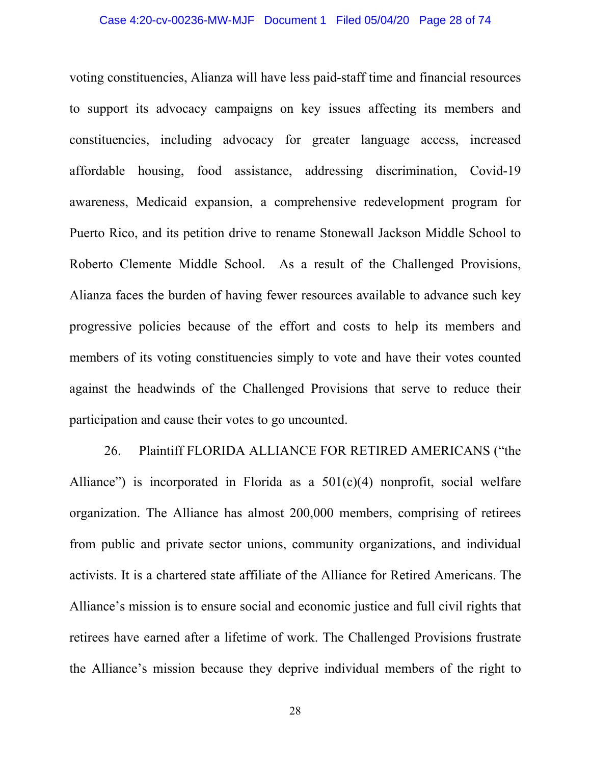#### Case 4:20-cv-00236-MW-MJF Document 1 Filed 05/04/20 Page 28 of 74

voting constituencies, Alianza will have less paid-staff time and financial resources to support its advocacy campaigns on key issues affecting its members and constituencies, including advocacy for greater language access, increased affordable housing, food assistance, addressing discrimination, Covid-19 awareness, Medicaid expansion, a comprehensive redevelopment program for Puerto Rico, and its petition drive to rename Stonewall Jackson Middle School to Roberto Clemente Middle School. As a result of the Challenged Provisions, Alianza faces the burden of having fewer resources available to advance such key progressive policies because of the effort and costs to help its members and members of its voting constituencies simply to vote and have their votes counted against the headwinds of the Challenged Provisions that serve to reduce their participation and cause their votes to go uncounted.

26. Plaintiff FLORIDA ALLIANCE FOR RETIRED AMERICANS ("the Alliance") is incorporated in Florida as a  $501(c)(4)$  nonprofit, social welfare organization. The Alliance has almost 200,000 members, comprising of retirees from public and private sector unions, community organizations, and individual activists. It is a chartered state affiliate of the Alliance for Retired Americans. The Alliance's mission is to ensure social and economic justice and full civil rights that retirees have earned after a lifetime of work. The Challenged Provisions frustrate the Alliance's mission because they deprive individual members of the right to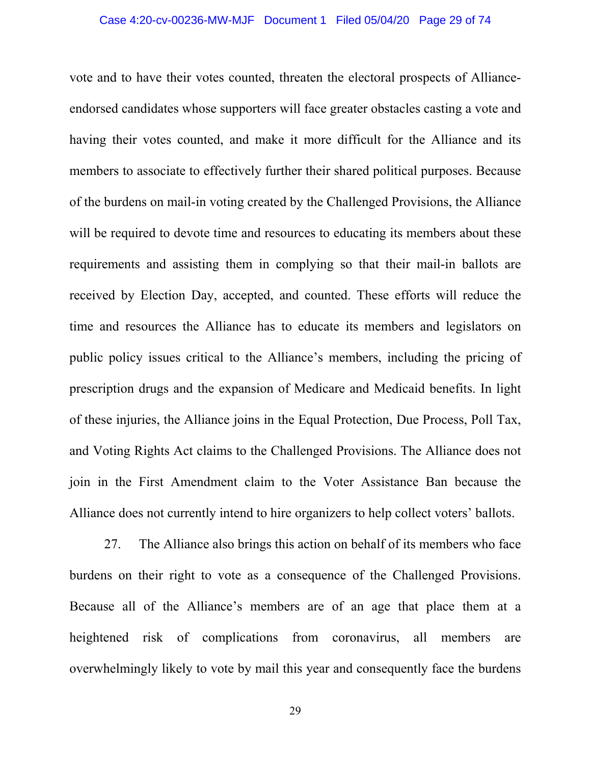# Case 4:20-cv-00236-MW-MJF Document 1 Filed 05/04/20 Page 29 of 74

vote and to have their votes counted, threaten the electoral prospects of Allianceendorsed candidates whose supporters will face greater obstacles casting a vote and having their votes counted, and make it more difficult for the Alliance and its members to associate to effectively further their shared political purposes. Because of the burdens on mail-in voting created by the Challenged Provisions, the Alliance will be required to devote time and resources to educating its members about these requirements and assisting them in complying so that their mail-in ballots are received by Election Day, accepted, and counted. These efforts will reduce the time and resources the Alliance has to educate its members and legislators on public policy issues critical to the Alliance's members, including the pricing of prescription drugs and the expansion of Medicare and Medicaid benefits. In light of these injuries, the Alliance joins in the Equal Protection, Due Process, Poll Tax, and Voting Rights Act claims to the Challenged Provisions. The Alliance does not join in the First Amendment claim to the Voter Assistance Ban because the Alliance does not currently intend to hire organizers to help collect voters' ballots.

27. The Alliance also brings this action on behalf of its members who face burdens on their right to vote as a consequence of the Challenged Provisions. Because all of the Alliance's members are of an age that place them at a heightened risk of complications from coronavirus, all members are overwhelmingly likely to vote by mail this year and consequently face the burdens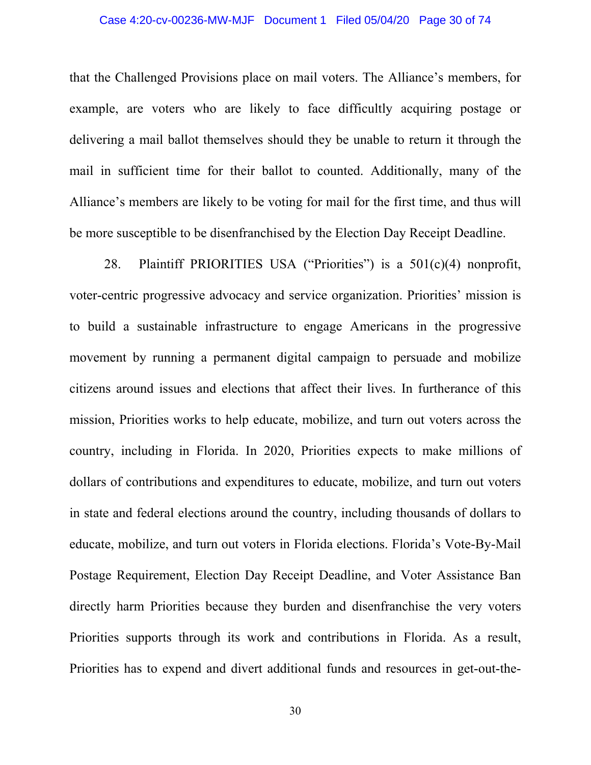# Case 4:20-cv-00236-MW-MJF Document 1 Filed 05/04/20 Page 30 of 74

that the Challenged Provisions place on mail voters. The Alliance's members, for example, are voters who are likely to face difficultly acquiring postage or delivering a mail ballot themselves should they be unable to return it through the mail in sufficient time for their ballot to counted. Additionally, many of the Alliance's members are likely to be voting for mail for the first time, and thus will be more susceptible to be disenfranchised by the Election Day Receipt Deadline.

28. Plaintiff PRIORITIES USA ("Priorities") is a 501(c)(4) nonprofit, voter-centric progressive advocacy and service organization. Priorities' mission is to build a sustainable infrastructure to engage Americans in the progressive movement by running a permanent digital campaign to persuade and mobilize citizens around issues and elections that affect their lives. In furtherance of this mission, Priorities works to help educate, mobilize, and turn out voters across the country, including in Florida. In 2020, Priorities expects to make millions of dollars of contributions and expenditures to educate, mobilize, and turn out voters in state and federal elections around the country, including thousands of dollars to educate, mobilize, and turn out voters in Florida elections. Florida's Vote-By-Mail Postage Requirement, Election Day Receipt Deadline, and Voter Assistance Ban directly harm Priorities because they burden and disenfranchise the very voters Priorities supports through its work and contributions in Florida. As a result, Priorities has to expend and divert additional funds and resources in get-out-the-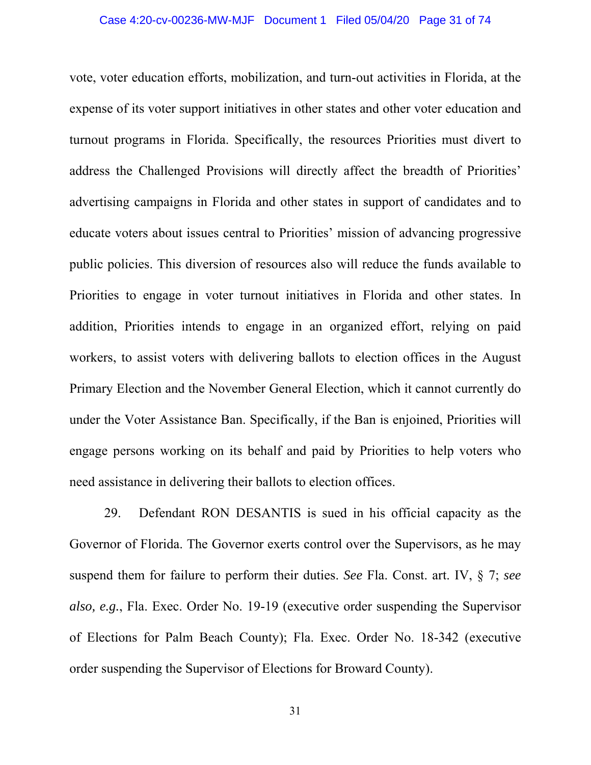vote, voter education efforts, mobilization, and turn-out activities in Florida, at the expense of its voter support initiatives in other states and other voter education and turnout programs in Florida. Specifically, the resources Priorities must divert to address the Challenged Provisions will directly affect the breadth of Priorities' advertising campaigns in Florida and other states in support of candidates and to educate voters about issues central to Priorities' mission of advancing progressive public policies. This diversion of resources also will reduce the funds available to Priorities to engage in voter turnout initiatives in Florida and other states. In addition, Priorities intends to engage in an organized effort, relying on paid workers, to assist voters with delivering ballots to election offices in the August Primary Election and the November General Election, which it cannot currently do under the Voter Assistance Ban. Specifically, if the Ban is enjoined, Priorities will engage persons working on its behalf and paid by Priorities to help voters who need assistance in delivering their ballots to election offices.

29. Defendant RON DESANTIS is sued in his official capacity as the Governor of Florida. The Governor exerts control over the Supervisors, as he may suspend them for failure to perform their duties. *See* Fla. Const. art. IV, § 7; *see also, e.g.*, Fla. Exec. Order No. 19-19 (executive order suspending the Supervisor of Elections for Palm Beach County); Fla. Exec. Order No. 18-342 (executive order suspending the Supervisor of Elections for Broward County).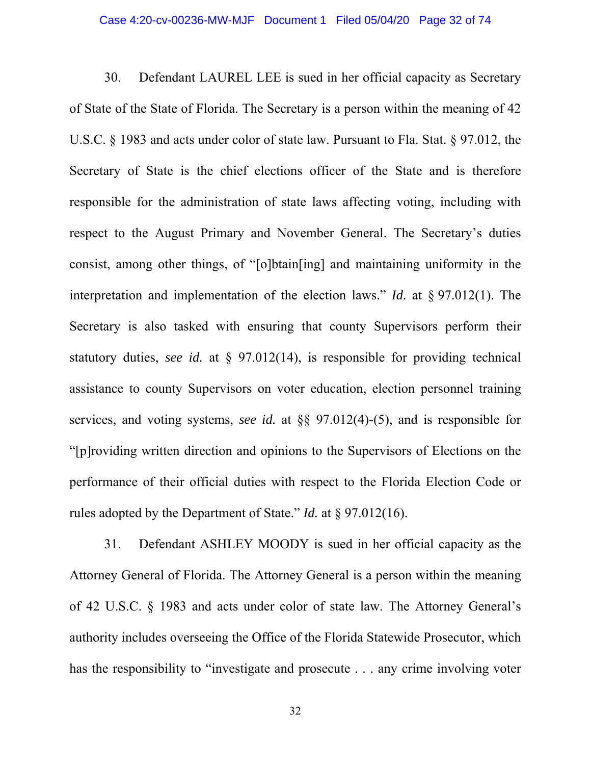# Case 4:20-cv-00236-MW-MJF Document 1 Filed 05/04/20 Page 32 of 74

30. Defendant LAUREL LEE is sued in her official capacity as Secretary of State of the State of Florida. The Secretary is a person within the meaning of 42 U.S.C. § 1983 and acts under color of state law. Pursuant to Fla. Stat. § 97.012, the Secretary of State is the chief elections officer of the State and is therefore responsible for the administration of state laws affecting voting, including with respect to the August Primary and November General. The Secretary's duties consist, among other things, of "[o]btain[ing] and maintaining uniformity in the interpretation and implementation of the election laws." *Id.* at § 97.012(1). The Secretary is also tasked with ensuring that county Supervisors perform their statutory duties, *see id.* at § 97.012(14), is responsible for providing technical assistance to county Supervisors on voter education, election personnel training services, and voting systems, *see id.* at §§ 97.012(4)-(5), and is responsible for "[p]roviding written direction and opinions to the Supervisors of Elections on the performance of their official duties with respect to the Florida Election Code or rules adopted by the Department of State." *Id.* at § 97.012(16).

31. Defendant ASHLEY MOODY is sued in her official capacity as the Attorney General of Florida. The Attorney General is a person within the meaning of 42 U.S.C. § 1983 and acts under color of state law. The Attorney General's authority includes overseeing the Office of the Florida Statewide Prosecutor, which has the responsibility to "investigate and prosecute . . . any crime involving voter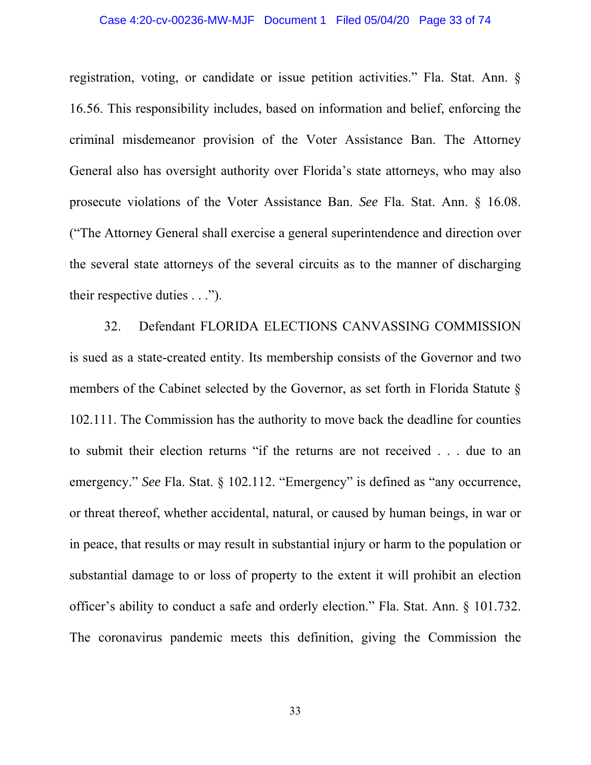# Case 4:20-cv-00236-MW-MJF Document 1 Filed 05/04/20 Page 33 of 74

registration, voting, or candidate or issue petition activities." Fla. Stat. Ann. § 16.56. This responsibility includes, based on information and belief, enforcing the criminal misdemeanor provision of the Voter Assistance Ban. The Attorney General also has oversight authority over Florida's state attorneys, who may also prosecute violations of the Voter Assistance Ban. *See* Fla. Stat. Ann. § 16.08. ("The Attorney General shall exercise a general superintendence and direction over the several state attorneys of the several circuits as to the manner of discharging their respective duties . . .").

32. Defendant FLORIDA ELECTIONS CANVASSING COMMISSION is sued as a state-created entity. Its membership consists of the Governor and two members of the Cabinet selected by the Governor, as set forth in Florida Statute § 102.111. The Commission has the authority to move back the deadline for counties to submit their election returns "if the returns are not received . . . due to an emergency." *See* Fla. Stat. § 102.112. "Emergency" is defined as "any occurrence, or threat thereof, whether accidental, natural, or caused by human beings, in war or in peace, that results or may result in substantial injury or harm to the population or substantial damage to or loss of property to the extent it will prohibit an election officer's ability to conduct a safe and orderly election." Fla. Stat. Ann. § 101.732. The coronavirus pandemic meets this definition, giving the Commission the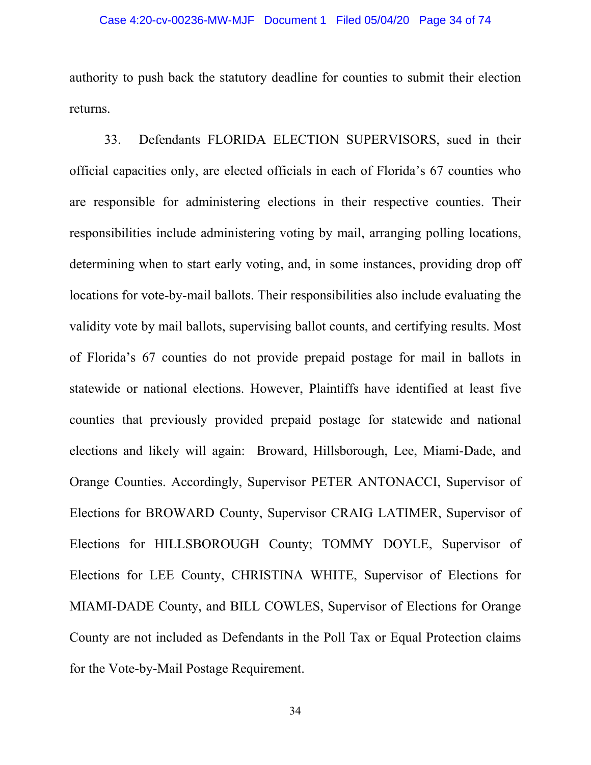authority to push back the statutory deadline for counties to submit their election returns.

33. Defendants FLORIDA ELECTION SUPERVISORS, sued in their official capacities only, are elected officials in each of Florida's 67 counties who are responsible for administering elections in their respective counties. Their responsibilities include administering voting by mail, arranging polling locations, determining when to start early voting, and, in some instances, providing drop off locations for vote-by-mail ballots. Their responsibilities also include evaluating the validity vote by mail ballots, supervising ballot counts, and certifying results. Most of Florida's 67 counties do not provide prepaid postage for mail in ballots in statewide or national elections. However, Plaintiffs have identified at least five counties that previously provided prepaid postage for statewide and national elections and likely will again: Broward, Hillsborough, Lee, Miami-Dade, and Orange Counties. Accordingly, Supervisor PETER ANTONACCI, Supervisor of Elections for BROWARD County, Supervisor CRAIG LATIMER, Supervisor of Elections for HILLSBOROUGH County; TOMMY DOYLE, Supervisor of Elections for LEE County, CHRISTINA WHITE, Supervisor of Elections for MIAMI-DADE County, and BILL COWLES, Supervisor of Elections for Orange County are not included as Defendants in the Poll Tax or Equal Protection claims for the Vote-by-Mail Postage Requirement.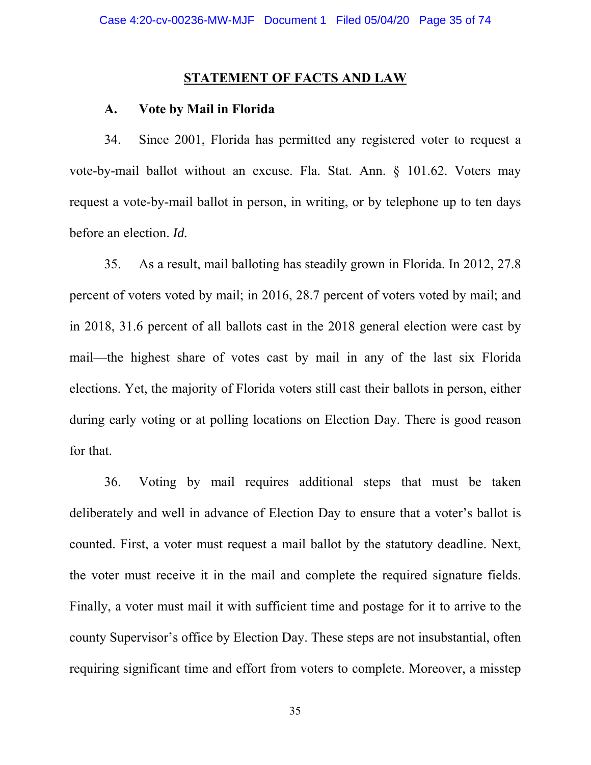#### **STATEMENT OF FACTS AND LAW**

#### **A. Vote by Mail in Florida**

34. Since 2001, Florida has permitted any registered voter to request a vote-by-mail ballot without an excuse. Fla. Stat. Ann. § 101.62. Voters may request a vote-by-mail ballot in person, in writing, or by telephone up to ten days before an election. *Id.*

35. As a result, mail balloting has steadily grown in Florida. In 2012, 27.8 percent of voters voted by mail; in 2016, 28.7 percent of voters voted by mail; and in 2018, 31.6 percent of all ballots cast in the 2018 general election were cast by mail⸺the highest share of votes cast by mail in any of the last six Florida elections. Yet, the majority of Florida voters still cast their ballots in person, either during early voting or at polling locations on Election Day. There is good reason for that.

36. Voting by mail requires additional steps that must be taken deliberately and well in advance of Election Day to ensure that a voter's ballot is counted. First, a voter must request a mail ballot by the statutory deadline. Next, the voter must receive it in the mail and complete the required signature fields. Finally, a voter must mail it with sufficient time and postage for it to arrive to the county Supervisor's office by Election Day. These steps are not insubstantial, often requiring significant time and effort from voters to complete. Moreover, a misstep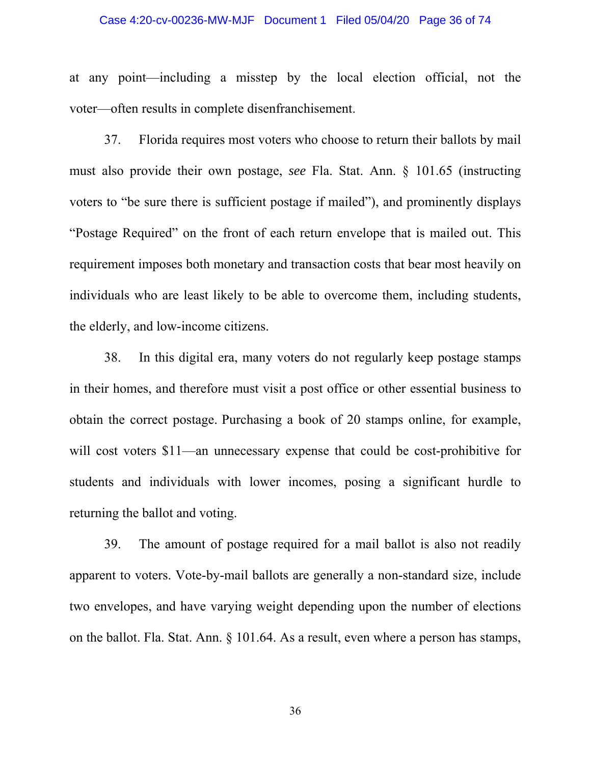# Case 4:20-cv-00236-MW-MJF Document 1 Filed 05/04/20 Page 36 of 74

at any point⸺including a misstep by the local election official, not the voter⸺often results in complete disenfranchisement.

37. Florida requires most voters who choose to return their ballots by mail must also provide their own postage, *see* Fla. Stat. Ann. § 101.65 (instructing voters to "be sure there is sufficient postage if mailed"), and prominently displays "Postage Required" on the front of each return envelope that is mailed out. This requirement imposes both monetary and transaction costs that bear most heavily on individuals who are least likely to be able to overcome them, including students, the elderly, and low-income citizens.

38. In this digital era, many voters do not regularly keep postage stamps in their homes, and therefore must visit a post office or other essential business to obtain the correct postage. Purchasing a book of 20 stamps online, for example, will cost voters \$11—an unnecessary expense that could be cost-prohibitive for students and individuals with lower incomes, posing a significant hurdle to returning the ballot and voting.

39. The amount of postage required for a mail ballot is also not readily apparent to voters. Vote-by-mail ballots are generally a non-standard size, include two envelopes, and have varying weight depending upon the number of elections on the ballot. Fla. Stat. Ann. § 101.64. As a result, even where a person has stamps,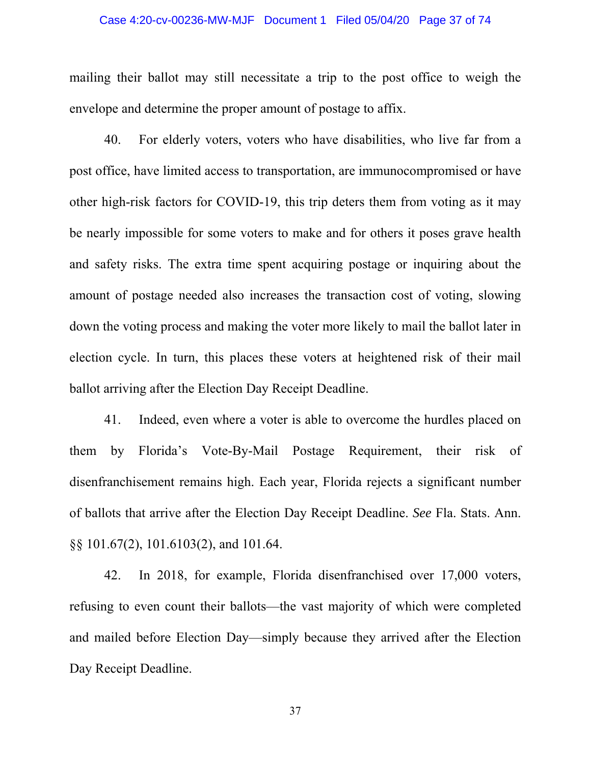### Case 4:20-cv-00236-MW-MJF Document 1 Filed 05/04/20 Page 37 of 74

mailing their ballot may still necessitate a trip to the post office to weigh the envelope and determine the proper amount of postage to affix.

40. For elderly voters, voters who have disabilities, who live far from a post office, have limited access to transportation, are immunocompromised or have other high-risk factors for COVID-19, this trip deters them from voting as it may be nearly impossible for some voters to make and for others it poses grave health and safety risks. The extra time spent acquiring postage or inquiring about the amount of postage needed also increases the transaction cost of voting, slowing down the voting process and making the voter more likely to mail the ballot later in election cycle. In turn, this places these voters at heightened risk of their mail ballot arriving after the Election Day Receipt Deadline.

41. Indeed, even where a voter is able to overcome the hurdles placed on them by Florida's Vote-By-Mail Postage Requirement, their risk of disenfranchisement remains high. Each year, Florida rejects a significant number of ballots that arrive after the Election Day Receipt Deadline. *See* Fla. Stats. Ann. §§ 101.67(2), 101.6103(2), and 101.64.

42. In 2018, for example, Florida disenfranchised over 17,000 voters, refusing to even count their ballots⸺the vast majority of which were completed and mailed before Election Day⸺simply because they arrived after the Election Day Receipt Deadline.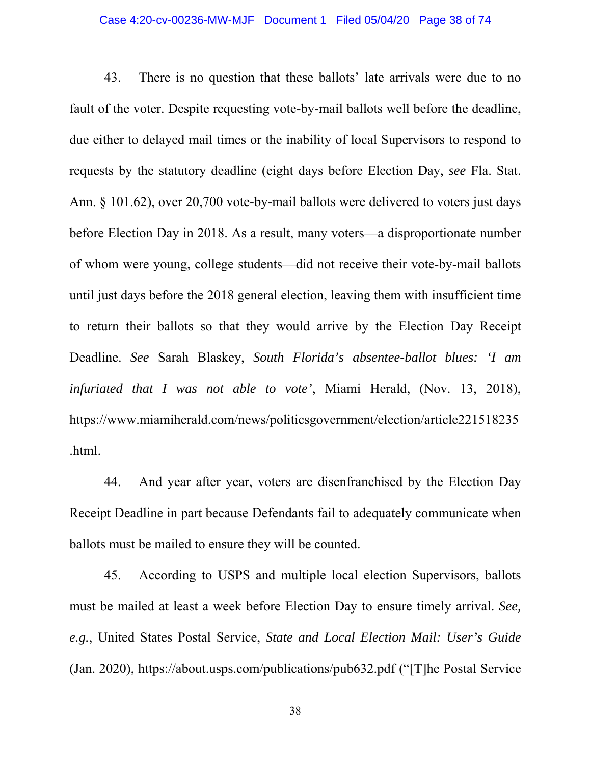### Case 4:20-cv-00236-MW-MJF Document 1 Filed 05/04/20 Page 38 of 74

43. There is no question that these ballots' late arrivals were due to no fault of the voter. Despite requesting vote-by-mail ballots well before the deadline, due either to delayed mail times or the inability of local Supervisors to respond to requests by the statutory deadline (eight days before Election Day, *see* Fla. Stat. Ann. § 101.62), over 20,700 vote-by-mail ballots were delivered to voters just days before Election Day in 2018. As a result, many voters⸺a disproportionate number of whom were young, college students⸺did not receive their vote-by-mail ballots until just days before the 2018 general election, leaving them with insufficient time to return their ballots so that they would arrive by the Election Day Receipt Deadline. *See* Sarah Blaskey, *South Florida's absentee-ballot blues: 'I am infuriated that I was not able to vote'*, Miami Herald, (Nov. 13, 2018), https://www.miamiherald.com/news/politicsgovernment/election/article221518235 .html.

44. And year after year, voters are disenfranchised by the Election Day Receipt Deadline in part because Defendants fail to adequately communicate when ballots must be mailed to ensure they will be counted.

45. According to USPS and multiple local election Supervisors, ballots must be mailed at least a week before Election Day to ensure timely arrival. *See, e.g.*, United States Postal Service, *State and Local Election Mail: User's Guide* (Jan. 2020), https://about.usps.com/publications/pub632.pdf ("[T]he Postal Service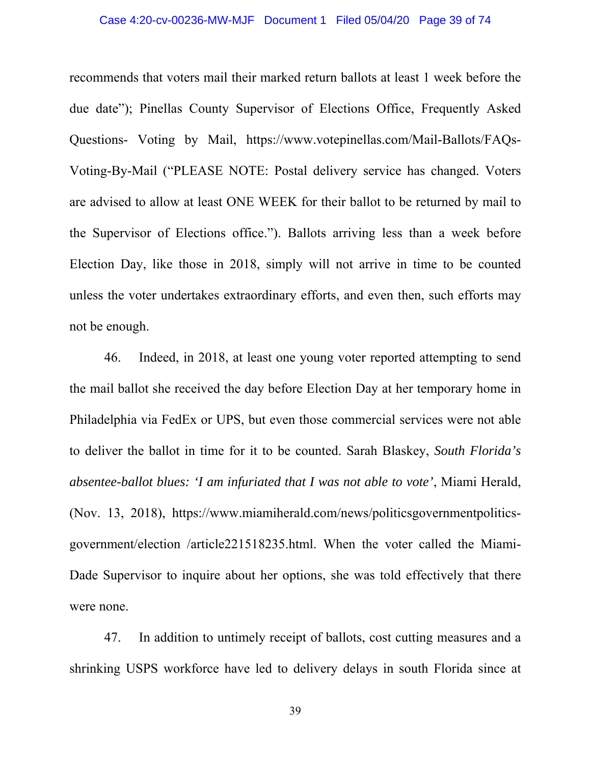### Case 4:20-cv-00236-MW-MJF Document 1 Filed 05/04/20 Page 39 of 74

recommends that voters mail their marked return ballots at least 1 week before the due date"); Pinellas County Supervisor of Elections Office, Frequently Asked Questions- Voting by Mail, https://www.votepinellas.com/Mail-Ballots/FAQs-Voting-By-Mail ("PLEASE NOTE: Postal delivery service has changed. Voters are advised to allow at least ONE WEEK for their ballot to be returned by mail to the Supervisor of Elections office."). Ballots arriving less than a week before Election Day, like those in 2018, simply will not arrive in time to be counted unless the voter undertakes extraordinary efforts, and even then, such efforts may not be enough.

46. Indeed, in 2018, at least one young voter reported attempting to send the mail ballot she received the day before Election Day at her temporary home in Philadelphia via FedEx or UPS, but even those commercial services were not able to deliver the ballot in time for it to be counted. Sarah Blaskey, *South Florida's absentee-ballot blues: 'I am infuriated that I was not able to vote'*, Miami Herald, (Nov. 13, 2018), https://www.miamiherald.com/news/politicsgovernmentpoliticsgovernment/election /article221518235.html. When the voter called the Miami-Dade Supervisor to inquire about her options, she was told effectively that there were none.

47. In addition to untimely receipt of ballots, cost cutting measures and a shrinking USPS workforce have led to delivery delays in south Florida since at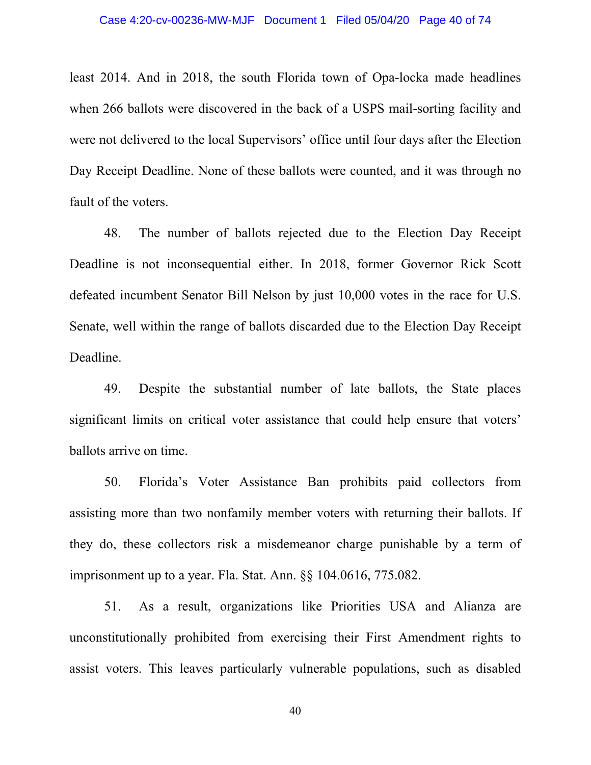least 2014. And in 2018, the south Florida town of Opa-locka made headlines when 266 ballots were discovered in the back of a USPS mail-sorting facility and were not delivered to the local Supervisors' office until four days after the Election Day Receipt Deadline. None of these ballots were counted, and it was through no fault of the voters.

48. The number of ballots rejected due to the Election Day Receipt Deadline is not inconsequential either. In 2018, former Governor Rick Scott defeated incumbent Senator Bill Nelson by just 10,000 votes in the race for U.S. Senate, well within the range of ballots discarded due to the Election Day Receipt Deadline.

49. Despite the substantial number of late ballots, the State places significant limits on critical voter assistance that could help ensure that voters' ballots arrive on time.

50. Florida's Voter Assistance Ban prohibits paid collectors from assisting more than two nonfamily member voters with returning their ballots. If they do, these collectors risk a misdemeanor charge punishable by a term of imprisonment up to a year. Fla. Stat. Ann. §§ 104.0616, 775.082.

51. As a result, organizations like Priorities USA and Alianza are unconstitutionally prohibited from exercising their First Amendment rights to assist voters. This leaves particularly vulnerable populations, such as disabled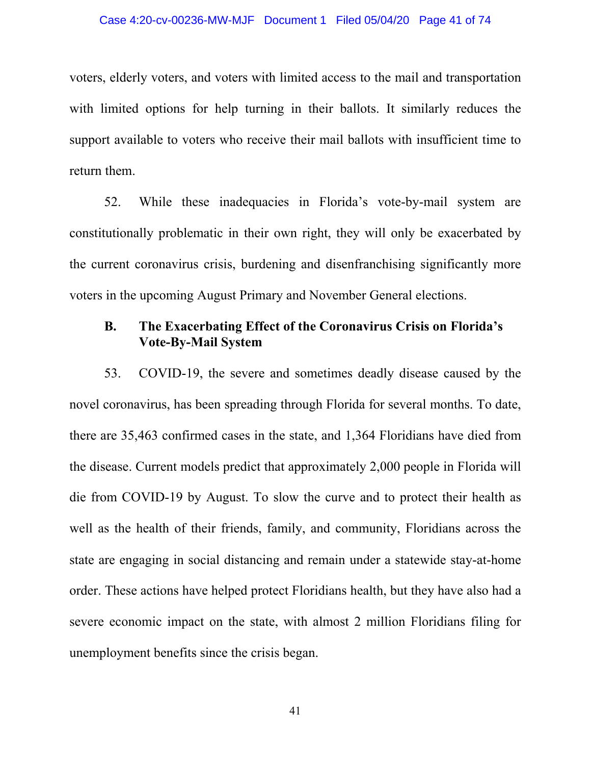### Case 4:20-cv-00236-MW-MJF Document 1 Filed 05/04/20 Page 41 of 74

voters, elderly voters, and voters with limited access to the mail and transportation with limited options for help turning in their ballots. It similarly reduces the support available to voters who receive their mail ballots with insufficient time to return them.

52. While these inadequacies in Florida's vote-by-mail system are constitutionally problematic in their own right, they will only be exacerbated by the current coronavirus crisis, burdening and disenfranchising significantly more voters in the upcoming August Primary and November General elections.

### **B. The Exacerbating Effect of the Coronavirus Crisis on Florida's Vote-By-Mail System**

53. COVID-19, the severe and sometimes deadly disease caused by the novel coronavirus, has been spreading through Florida for several months. To date, there are 35,463 confirmed cases in the state, and 1,364 Floridians have died from the disease. Current models predict that approximately 2,000 people in Florida will die from COVID-19 by August. To slow the curve and to protect their health as well as the health of their friends, family, and community, Floridians across the state are engaging in social distancing and remain under a statewide stay-at-home order. These actions have helped protect Floridians health, but they have also had a severe economic impact on the state, with almost 2 million Floridians filing for unemployment benefits since the crisis began.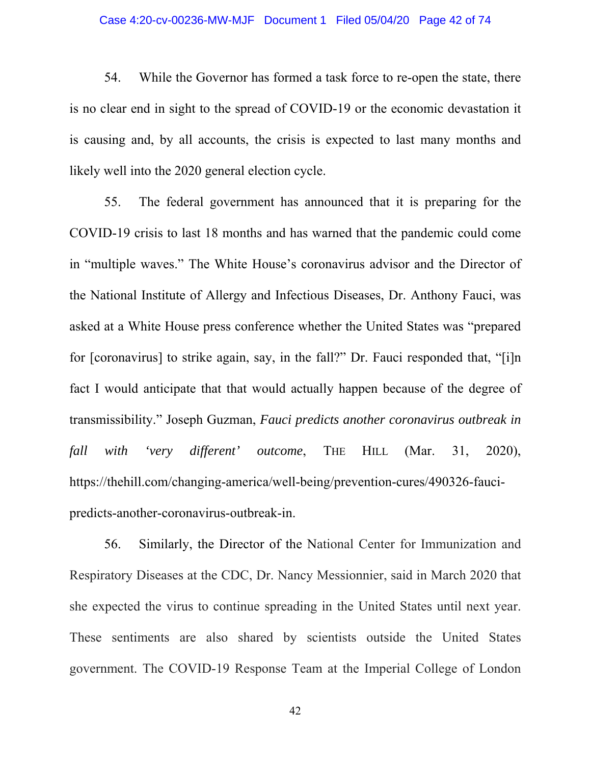### Case 4:20-cv-00236-MW-MJF Document 1 Filed 05/04/20 Page 42 of 74

54. While the Governor has formed a task force to re-open the state, there is no clear end in sight to the spread of COVID-19 or the economic devastation it is causing and, by all accounts, the crisis is expected to last many months and likely well into the 2020 general election cycle.

55. The federal government has announced that it is preparing for the COVID-19 crisis to last 18 months and has warned that the pandemic could come in "multiple waves." The White House's coronavirus advisor and the Director of the National Institute of Allergy and Infectious Diseases, Dr. Anthony Fauci, was asked at a White House press conference whether the United States was "prepared for [coronavirus] to strike again, say, in the fall?" Dr. Fauci responded that, "[i]n fact I would anticipate that that would actually happen because of the degree of transmissibility." Joseph Guzman, *Fauci predicts another coronavirus outbreak in fall with 'very different' outcome*, THE HILL (Mar. 31, 2020), https://thehill.com/changing-america/well-being/prevention-cures/490326-faucipredicts-another-coronavirus-outbreak-in.

56. Similarly, the Director of the National Center for Immunization and Respiratory Diseases at the CDC, Dr. Nancy Messionnier, said in March 2020 that she expected the virus to continue spreading in the United States until next year. These sentiments are also shared by scientists outside the United States government. The COVID-19 Response Team at the Imperial College of London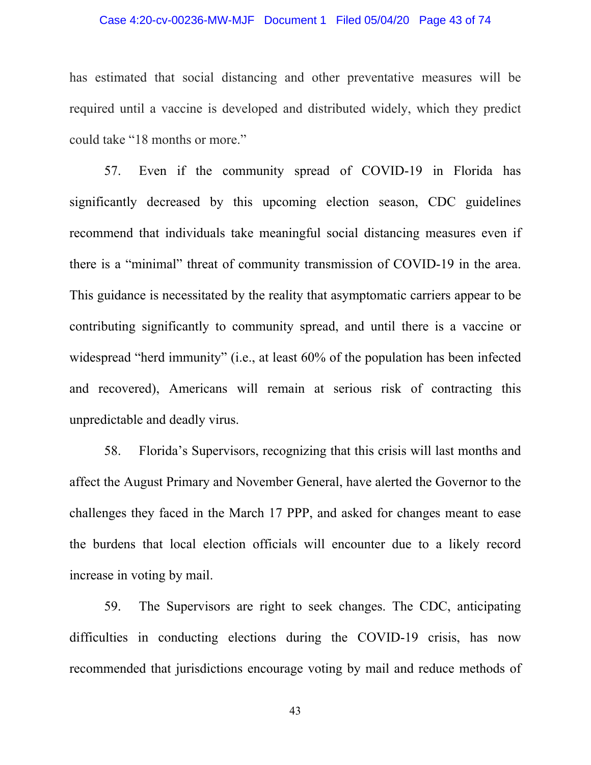### Case 4:20-cv-00236-MW-MJF Document 1 Filed 05/04/20 Page 43 of 74

has estimated that social distancing and other preventative measures will be required until a vaccine is developed and distributed widely, which they predict could take "18 months or more."

57. Even if the community spread of COVID-19 in Florida has significantly decreased by this upcoming election season, CDC guidelines recommend that individuals take meaningful social distancing measures even if there is a "minimal" threat of community transmission of COVID-19 in the area. This guidance is necessitated by the reality that asymptomatic carriers appear to be contributing significantly to community spread, and until there is a vaccine or widespread "herd immunity" (i.e., at least 60% of the population has been infected and recovered), Americans will remain at serious risk of contracting this unpredictable and deadly virus.

58. Florida's Supervisors, recognizing that this crisis will last months and affect the August Primary and November General, have alerted the Governor to the challenges they faced in the March 17 PPP, and asked for changes meant to ease the burdens that local election officials will encounter due to a likely record increase in voting by mail.

59. The Supervisors are right to seek changes. The CDC, anticipating difficulties in conducting elections during the COVID-19 crisis, has now recommended that jurisdictions encourage voting by mail and reduce methods of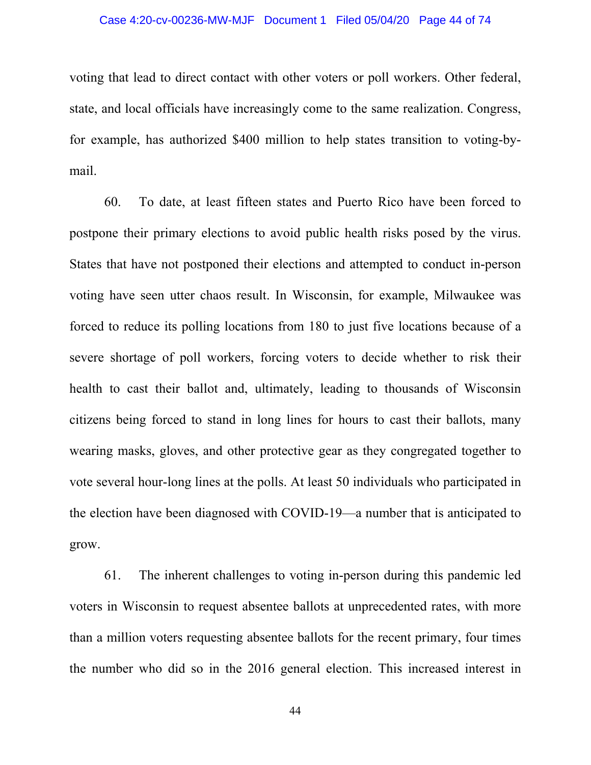### Case 4:20-cv-00236-MW-MJF Document 1 Filed 05/04/20 Page 44 of 74

voting that lead to direct contact with other voters or poll workers. Other federal, state, and local officials have increasingly come to the same realization. Congress, for example, has authorized \$400 million to help states transition to voting-bymail.

60. To date, at least fifteen states and Puerto Rico have been forced to postpone their primary elections to avoid public health risks posed by the virus. States that have not postponed their elections and attempted to conduct in-person voting have seen utter chaos result. In Wisconsin, for example, Milwaukee was forced to reduce its polling locations from 180 to just five locations because of a severe shortage of poll workers, forcing voters to decide whether to risk their health to cast their ballot and, ultimately, leading to thousands of Wisconsin citizens being forced to stand in long lines for hours to cast their ballots, many wearing masks, gloves, and other protective gear as they congregated together to vote several hour-long lines at the polls. At least 50 individuals who participated in the election have been diagnosed with COVID-19—a number that is anticipated to grow.

61. The inherent challenges to voting in-person during this pandemic led voters in Wisconsin to request absentee ballots at unprecedented rates, with more than a million voters requesting absentee ballots for the recent primary, four times the number who did so in the 2016 general election. This increased interest in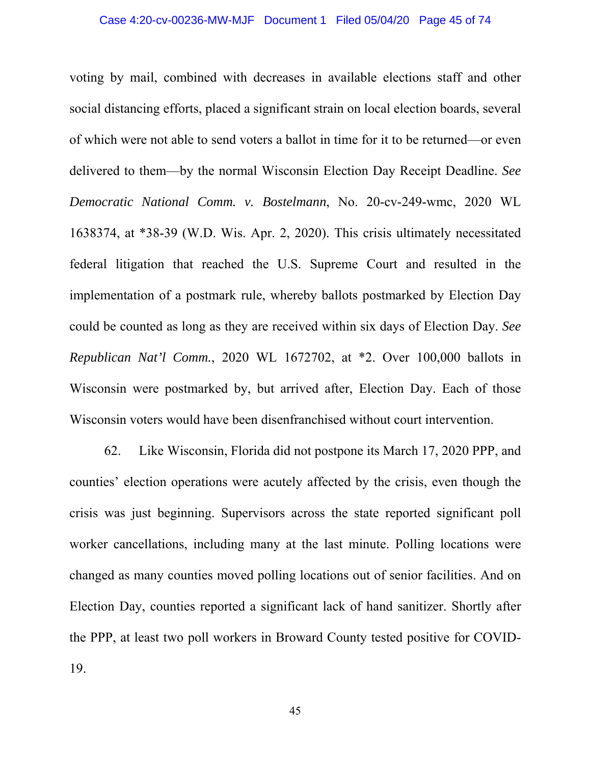voting by mail, combined with decreases in available elections staff and other social distancing efforts, placed a significant strain on local election boards, several of which were not able to send voters a ballot in time for it to be returned—or even delivered to them—by the normal Wisconsin Election Day Receipt Deadline. *See Democratic National Comm. v. Bostelmann*, No. 20-cv-249-wmc, 2020 WL 1638374, at \*38-39 (W.D. Wis. Apr. 2, 2020). This crisis ultimately necessitated federal litigation that reached the U.S. Supreme Court and resulted in the implementation of a postmark rule, whereby ballots postmarked by Election Day could be counted as long as they are received within six days of Election Day. *See Republican Nat'l Comm.*, 2020 WL 1672702, at \*2. Over 100,000 ballots in Wisconsin were postmarked by, but arrived after, Election Day. Each of those Wisconsin voters would have been disenfranchised without court intervention.

62. Like Wisconsin, Florida did not postpone its March 17, 2020 PPP, and counties' election operations were acutely affected by the crisis, even though the crisis was just beginning. Supervisors across the state reported significant poll worker cancellations, including many at the last minute. Polling locations were changed as many counties moved polling locations out of senior facilities. And on Election Day, counties reported a significant lack of hand sanitizer. Shortly after the PPP, at least two poll workers in Broward County tested positive for COVID-19.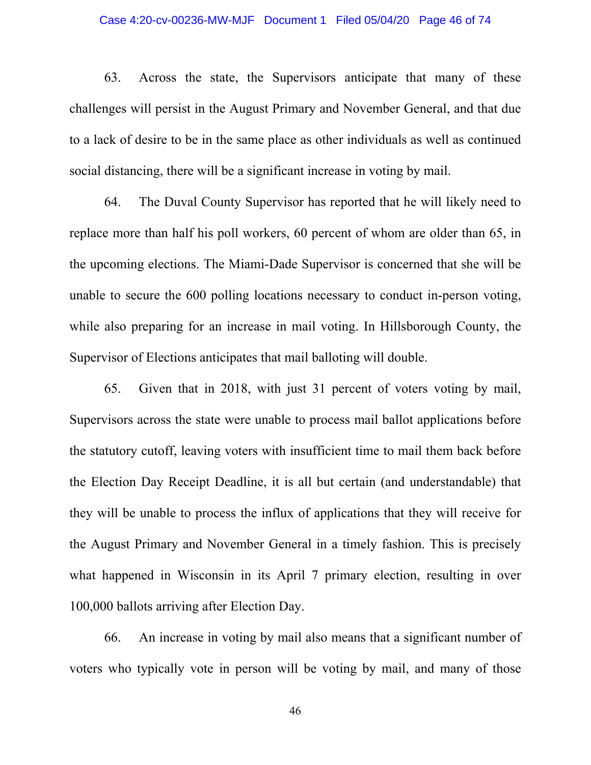### Case 4:20-cv-00236-MW-MJF Document 1 Filed 05/04/20 Page 46 of 74

63. Across the state, the Supervisors anticipate that many of these challenges will persist in the August Primary and November General, and that due to a lack of desire to be in the same place as other individuals as well as continued social distancing, there will be a significant increase in voting by mail.

64. The Duval County Supervisor has reported that he will likely need to replace more than half his poll workers, 60 percent of whom are older than 65, in the upcoming elections. The Miami-Dade Supervisor is concerned that she will be unable to secure the 600 polling locations necessary to conduct in-person voting, while also preparing for an increase in mail voting. In Hillsborough County, the Supervisor of Elections anticipates that mail balloting will double.

65. Given that in 2018, with just 31 percent of voters voting by mail, Supervisors across the state were unable to process mail ballot applications before the statutory cutoff, leaving voters with insufficient time to mail them back before the Election Day Receipt Deadline, it is all but certain (and understandable) that they will be unable to process the influx of applications that they will receive for the August Primary and November General in a timely fashion. This is precisely what happened in Wisconsin in its April 7 primary election, resulting in over 100,000 ballots arriving after Election Day.

66. An increase in voting by mail also means that a significant number of voters who typically vote in person will be voting by mail, and many of those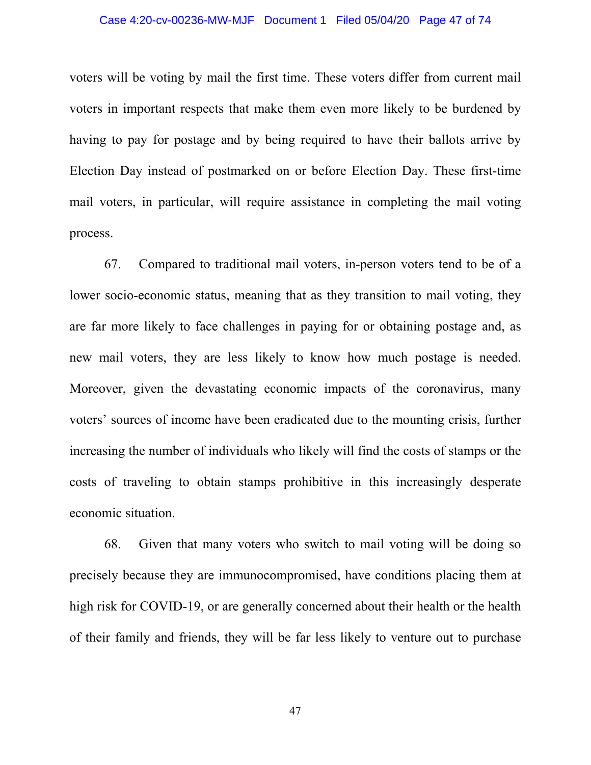### Case 4:20-cv-00236-MW-MJF Document 1 Filed 05/04/20 Page 47 of 74

voters will be voting by mail the first time. These voters differ from current mail voters in important respects that make them even more likely to be burdened by having to pay for postage and by being required to have their ballots arrive by Election Day instead of postmarked on or before Election Day. These first-time mail voters, in particular, will require assistance in completing the mail voting process.

67. Compared to traditional mail voters, in-person voters tend to be of a lower socio-economic status, meaning that as they transition to mail voting, they are far more likely to face challenges in paying for or obtaining postage and, as new mail voters, they are less likely to know how much postage is needed. Moreover, given the devastating economic impacts of the coronavirus, many voters' sources of income have been eradicated due to the mounting crisis, further increasing the number of individuals who likely will find the costs of stamps or the costs of traveling to obtain stamps prohibitive in this increasingly desperate economic situation.

68. Given that many voters who switch to mail voting will be doing so precisely because they are immunocompromised, have conditions placing them at high risk for COVID-19, or are generally concerned about their health or the health of their family and friends, they will be far less likely to venture out to purchase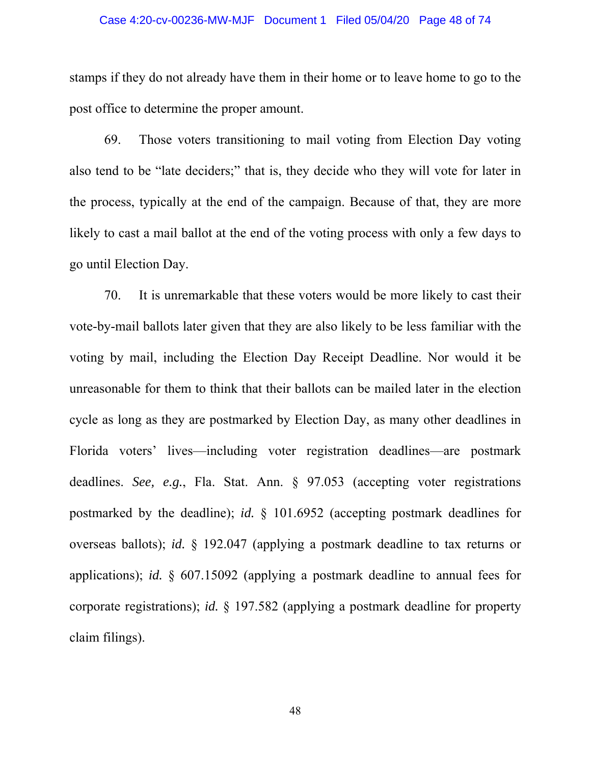### Case 4:20-cv-00236-MW-MJF Document 1 Filed 05/04/20 Page 48 of 74

stamps if they do not already have them in their home or to leave home to go to the post office to determine the proper amount.

69. Those voters transitioning to mail voting from Election Day voting also tend to be "late deciders;" that is, they decide who they will vote for later in the process, typically at the end of the campaign. Because of that, they are more likely to cast a mail ballot at the end of the voting process with only a few days to go until Election Day.

70. It is unremarkable that these voters would be more likely to cast their vote-by-mail ballots later given that they are also likely to be less familiar with the voting by mail, including the Election Day Receipt Deadline. Nor would it be unreasonable for them to think that their ballots can be mailed later in the election cycle as long as they are postmarked by Election Day, as many other deadlines in Florida voters' lives—including voter registration deadlines—are postmark deadlines. *See, e.g.*, Fla. Stat. Ann. § 97.053 (accepting voter registrations postmarked by the deadline); *id.* § 101.6952 (accepting postmark deadlines for overseas ballots); *id.* § 192.047 (applying a postmark deadline to tax returns or applications); *id.* § 607.15092 (applying a postmark deadline to annual fees for corporate registrations); *id.* § 197.582 (applying a postmark deadline for property claim filings).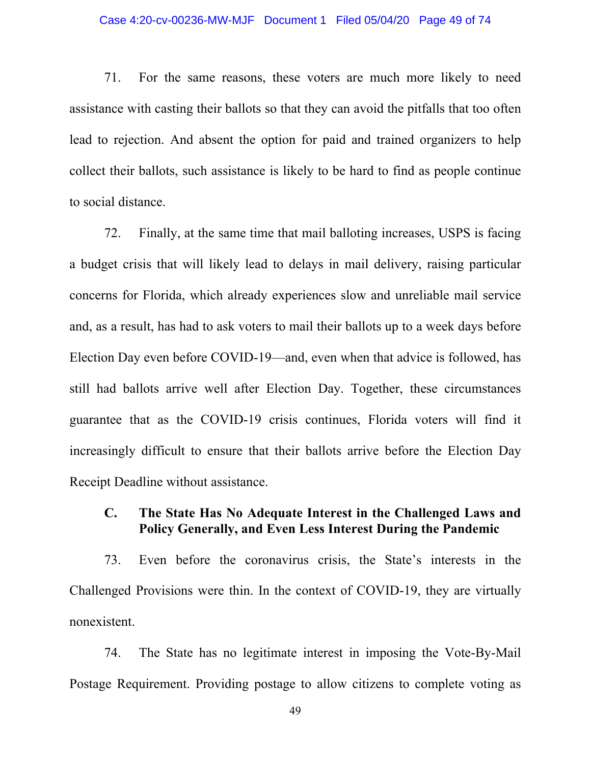#### Case 4:20-cv-00236-MW-MJF Document 1 Filed 05/04/20 Page 49 of 74

71. For the same reasons, these voters are much more likely to need assistance with casting their ballots so that they can avoid the pitfalls that too often lead to rejection. And absent the option for paid and trained organizers to help collect their ballots, such assistance is likely to be hard to find as people continue to social distance.

72. Finally, at the same time that mail balloting increases, USPS is facing a budget crisis that will likely lead to delays in mail delivery, raising particular concerns for Florida, which already experiences slow and unreliable mail service and, as a result, has had to ask voters to mail their ballots up to a week days before Election Day even before COVID-19⸺and, even when that advice is followed, has still had ballots arrive well after Election Day. Together, these circumstances guarantee that as the COVID-19 crisis continues, Florida voters will find it increasingly difficult to ensure that their ballots arrive before the Election Day Receipt Deadline without assistance.

## **C. The State Has No Adequate Interest in the Challenged Laws and Policy Generally, and Even Less Interest During the Pandemic**

73. Even before the coronavirus crisis, the State's interests in the Challenged Provisions were thin. In the context of COVID-19, they are virtually nonexistent.

74. The State has no legitimate interest in imposing the Vote-By-Mail Postage Requirement. Providing postage to allow citizens to complete voting as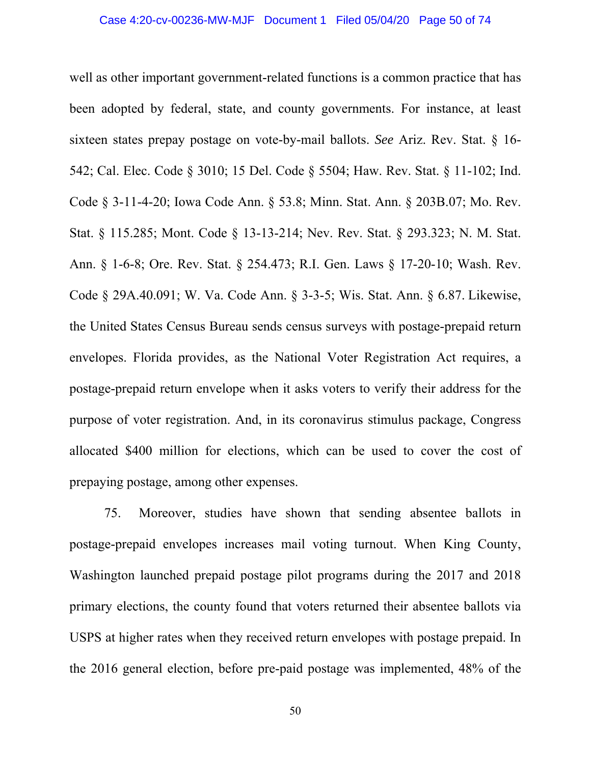well as other important government-related functions is a common practice that has been adopted by federal, state, and county governments. For instance, at least sixteen states prepay postage on vote-by-mail ballots. *See* Ariz. Rev. Stat. § 16- 542; Cal. Elec. Code § 3010; 15 Del. Code § 5504; Haw. Rev. Stat. § 11-102; Ind. Code § 3-11-4-20; Iowa Code Ann. § 53.8; Minn. Stat. Ann. § 203B.07; Mo. Rev. Stat. § 115.285; Mont. Code § 13-13-214; Nev. Rev. Stat. § 293.323; N. M. Stat. Ann. § 1-6-8; Ore. Rev. Stat. § 254.473; R.I. Gen. Laws § 17-20-10; Wash. Rev. Code § 29A.40.091; W. Va. Code Ann. § 3-3-5; Wis. Stat. Ann. § 6.87. Likewise, the United States Census Bureau sends census surveys with postage-prepaid return envelopes. Florida provides, as the National Voter Registration Act requires, a postage-prepaid return envelope when it asks voters to verify their address for the purpose of voter registration. And, in its coronavirus stimulus package, Congress allocated \$400 million for elections, which can be used to cover the cost of prepaying postage, among other expenses.

75. Moreover, studies have shown that sending absentee ballots in postage-prepaid envelopes increases mail voting turnout. When King County, Washington launched prepaid postage pilot programs during the 2017 and 2018 primary elections, the county found that voters returned their absentee ballots via USPS at higher rates when they received return envelopes with postage prepaid. In the 2016 general election, before pre-paid postage was implemented, 48% of the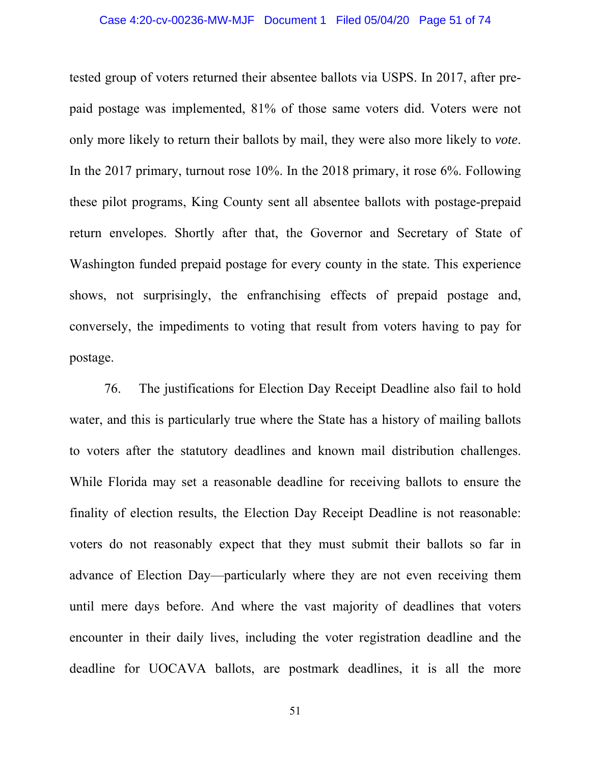### Case 4:20-cv-00236-MW-MJF Document 1 Filed 05/04/20 Page 51 of 74

tested group of voters returned their absentee ballots via USPS. In 2017, after prepaid postage was implemented, 81% of those same voters did. Voters were not only more likely to return their ballots by mail, they were also more likely to *vote*. In the 2017 primary, turnout rose 10%. In the 2018 primary, it rose 6%. Following these pilot programs, King County sent all absentee ballots with postage-prepaid return envelopes. Shortly after that, the Governor and Secretary of State of Washington funded prepaid postage for every county in the state. This experience shows, not surprisingly, the enfranchising effects of prepaid postage and, conversely, the impediments to voting that result from voters having to pay for postage.

76. The justifications for Election Day Receipt Deadline also fail to hold water, and this is particularly true where the State has a history of mailing ballots to voters after the statutory deadlines and known mail distribution challenges. While Florida may set a reasonable deadline for receiving ballots to ensure the finality of election results, the Election Day Receipt Deadline is not reasonable: voters do not reasonably expect that they must submit their ballots so far in advance of Election Day⸺particularly where they are not even receiving them until mere days before. And where the vast majority of deadlines that voters encounter in their daily lives, including the voter registration deadline and the deadline for UOCAVA ballots, are postmark deadlines, it is all the more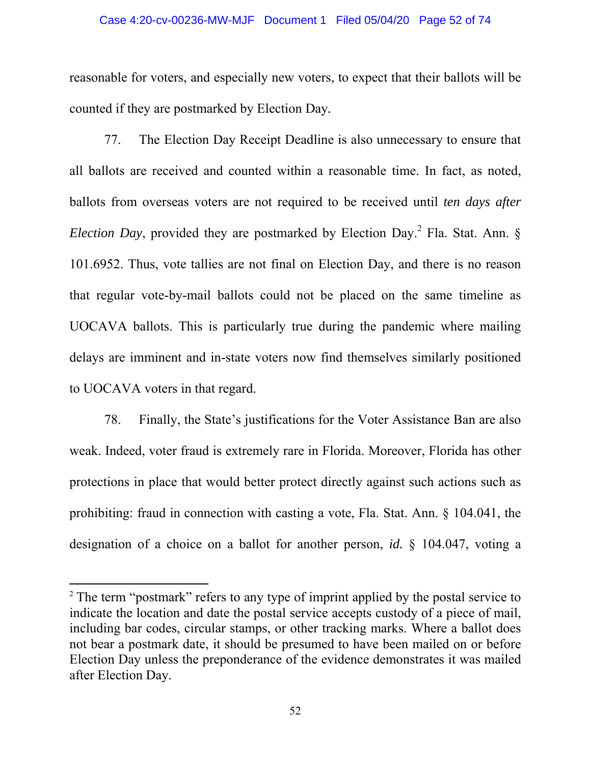#### Case 4:20-cv-00236-MW-MJF Document 1 Filed 05/04/20 Page 52 of 74

reasonable for voters, and especially new voters, to expect that their ballots will be counted if they are postmarked by Election Day*.* 

77. The Election Day Receipt Deadline is also unnecessary to ensure that all ballots are received and counted within a reasonable time. In fact, as noted, ballots from overseas voters are not required to be received until *ten days after Election Day*, provided they are postmarked by Election Day.<sup>2</sup> Fla. Stat. Ann. § 101.6952. Thus, vote tallies are not final on Election Day, and there is no reason that regular vote-by-mail ballots could not be placed on the same timeline as UOCAVA ballots. This is particularly true during the pandemic where mailing delays are imminent and in-state voters now find themselves similarly positioned to UOCAVA voters in that regard.

78. Finally, the State's justifications for the Voter Assistance Ban are also weak. Indeed, voter fraud is extremely rare in Florida. Moreover, Florida has other protections in place that would better protect directly against such actions such as prohibiting: fraud in connection with casting a vote, Fla. Stat. Ann. § 104.041, the designation of a choice on a ballot for another person, *id.* § 104.047, voting a

 $2$  The term "postmark" refers to any type of imprint applied by the postal service to indicate the location and date the postal service accepts custody of a piece of mail, including bar codes, circular stamps, or other tracking marks. Where a ballot does not bear a postmark date, it should be presumed to have been mailed on or before Election Day unless the preponderance of the evidence demonstrates it was mailed after Election Day.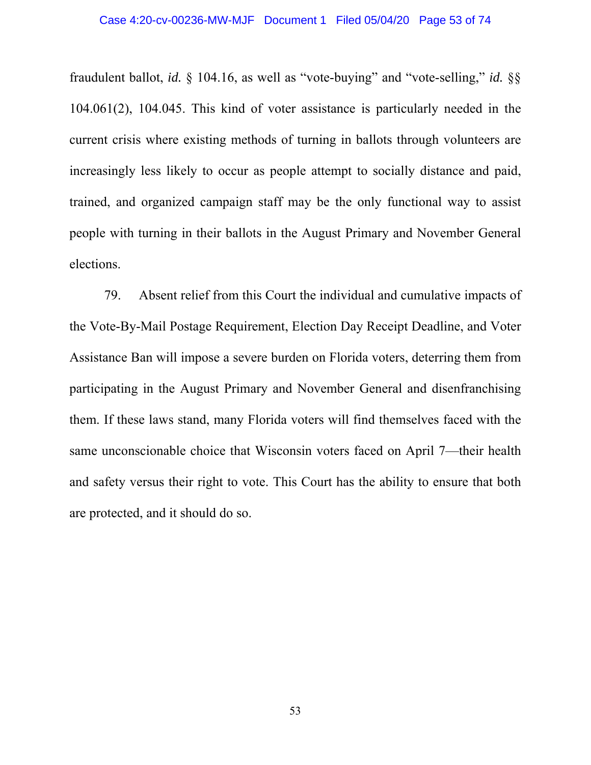fraudulent ballot, *id.* § 104.16, as well as "vote-buying" and "vote-selling," *id.* §§ 104.061(2), 104.045. This kind of voter assistance is particularly needed in the current crisis where existing methods of turning in ballots through volunteers are increasingly less likely to occur as people attempt to socially distance and paid, trained, and organized campaign staff may be the only functional way to assist people with turning in their ballots in the August Primary and November General elections.

79. Absent relief from this Court the individual and cumulative impacts of the Vote-By-Mail Postage Requirement, Election Day Receipt Deadline, and Voter Assistance Ban will impose a severe burden on Florida voters, deterring them from participating in the August Primary and November General and disenfranchising them. If these laws stand, many Florida voters will find themselves faced with the same unconscionable choice that Wisconsin voters faced on April 7—their health and safety versus their right to vote. This Court has the ability to ensure that both are protected, and it should do so.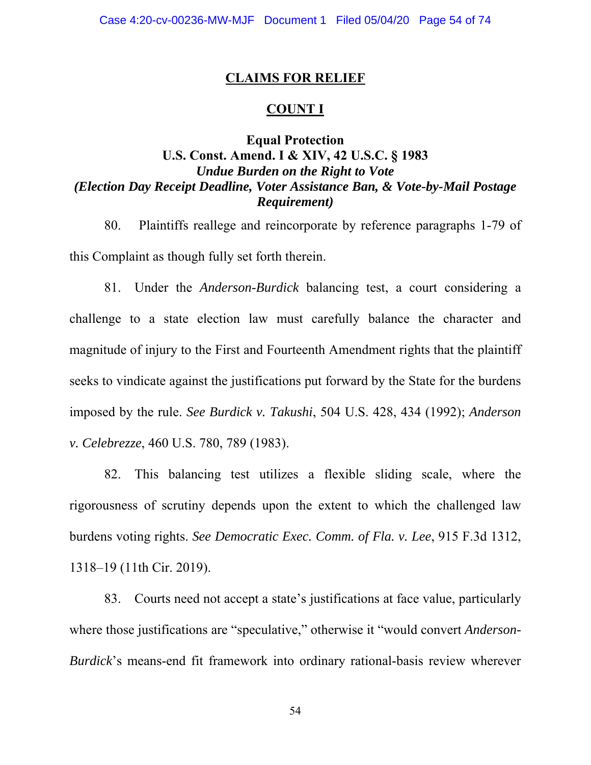### **CLAIMS FOR RELIEF**

### **COUNT I**

# **Equal Protection U.S. Const. Amend. I & XIV, 42 U.S.C. § 1983**  *Undue Burden on the Right to Vote (Election Day Receipt Deadline, Voter Assistance Ban, & Vote-by-Mail Postage Requirement)*

80. Plaintiffs reallege and reincorporate by reference paragraphs 1-79 of this Complaint as though fully set forth therein.

81. Under the *Anderson-Burdick* balancing test, a court considering a challenge to a state election law must carefully balance the character and magnitude of injury to the First and Fourteenth Amendment rights that the plaintiff seeks to vindicate against the justifications put forward by the State for the burdens imposed by the rule. *See Burdick v. Takushi*, 504 U.S. 428, 434 (1992); *Anderson v. Celebrezze*, 460 U.S. 780, 789 (1983).

82. This balancing test utilizes a flexible sliding scale, where the rigorousness of scrutiny depends upon the extent to which the challenged law burdens voting rights. *See Democratic Exec. Comm. of Fla. v. Lee*, 915 F.3d 1312, 1318–19 (11th Cir. 2019).

83. Courts need not accept a state's justifications at face value, particularly where those justifications are "speculative," otherwise it "would convert *Anderson-Burdick*'s means-end fit framework into ordinary rational-basis review wherever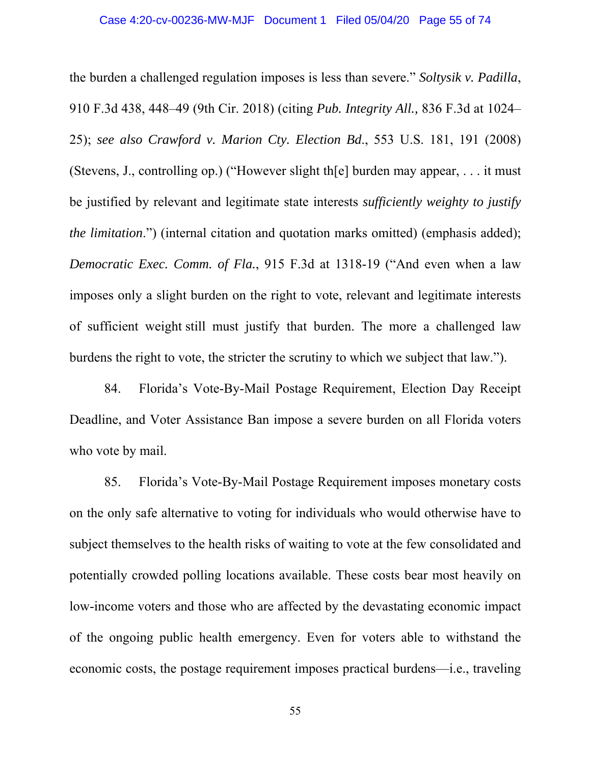the burden a challenged regulation imposes is less than severe." *Soltysik v. Padilla*, 910 F.3d 438, 448–49 (9th Cir. 2018) (citing *Pub. Integrity All.,* 836 F.3d at 1024– 25); *see also Crawford v. Marion Cty. Election Bd*., 553 U.S. 181, 191 (2008) (Stevens, J., controlling op.) ("However slight th[e] burden may appear, . . . it must be justified by relevant and legitimate state interests *sufficiently weighty to justify the limitation*.") (internal citation and quotation marks omitted) (emphasis added); *Democratic Exec. Comm. of Fla.*, 915 F.3d at 1318-19 ("And even when a law imposes only a slight burden on the right to vote, relevant and legitimate interests of sufficient weight still must justify that burden. The more a challenged law burdens the right to vote, the stricter the scrutiny to which we subject that law.").

84. Florida's Vote-By-Mail Postage Requirement, Election Day Receipt Deadline, and Voter Assistance Ban impose a severe burden on all Florida voters who vote by mail.

85. Florida's Vote-By-Mail Postage Requirement imposes monetary costs on the only safe alternative to voting for individuals who would otherwise have to subject themselves to the health risks of waiting to vote at the few consolidated and potentially crowded polling locations available. These costs bear most heavily on low-income voters and those who are affected by the devastating economic impact of the ongoing public health emergency. Even for voters able to withstand the economic costs, the postage requirement imposes practical burdens—i.e., traveling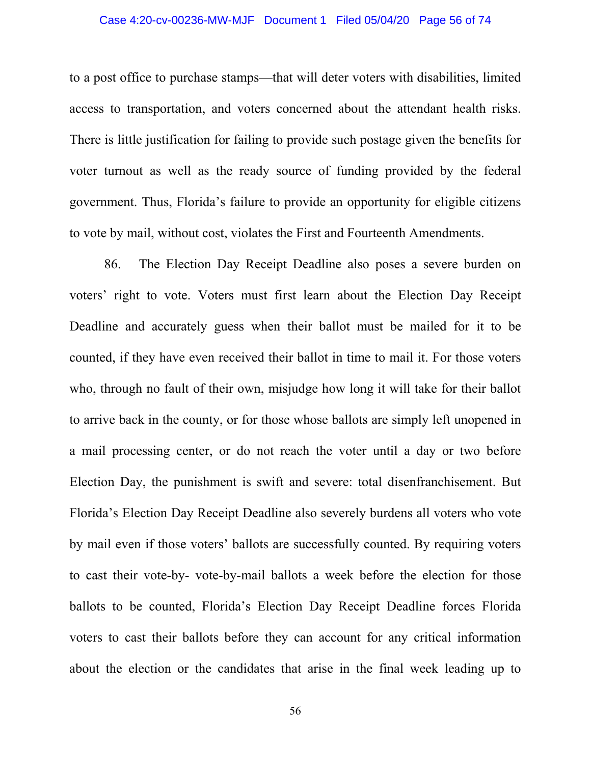### Case 4:20-cv-00236-MW-MJF Document 1 Filed 05/04/20 Page 56 of 74

to a post office to purchase stamps—that will deter voters with disabilities, limited access to transportation, and voters concerned about the attendant health risks. There is little justification for failing to provide such postage given the benefits for voter turnout as well as the ready source of funding provided by the federal government. Thus, Florida's failure to provide an opportunity for eligible citizens to vote by mail, without cost, violates the First and Fourteenth Amendments.

86. The Election Day Receipt Deadline also poses a severe burden on voters' right to vote. Voters must first learn about the Election Day Receipt Deadline and accurately guess when their ballot must be mailed for it to be counted, if they have even received their ballot in time to mail it. For those voters who, through no fault of their own, misjudge how long it will take for their ballot to arrive back in the county, or for those whose ballots are simply left unopened in a mail processing center, or do not reach the voter until a day or two before Election Day, the punishment is swift and severe: total disenfranchisement. But Florida's Election Day Receipt Deadline also severely burdens all voters who vote by mail even if those voters' ballots are successfully counted. By requiring voters to cast their vote-by- vote-by-mail ballots a week before the election for those ballots to be counted, Florida's Election Day Receipt Deadline forces Florida voters to cast their ballots before they can account for any critical information about the election or the candidates that arise in the final week leading up to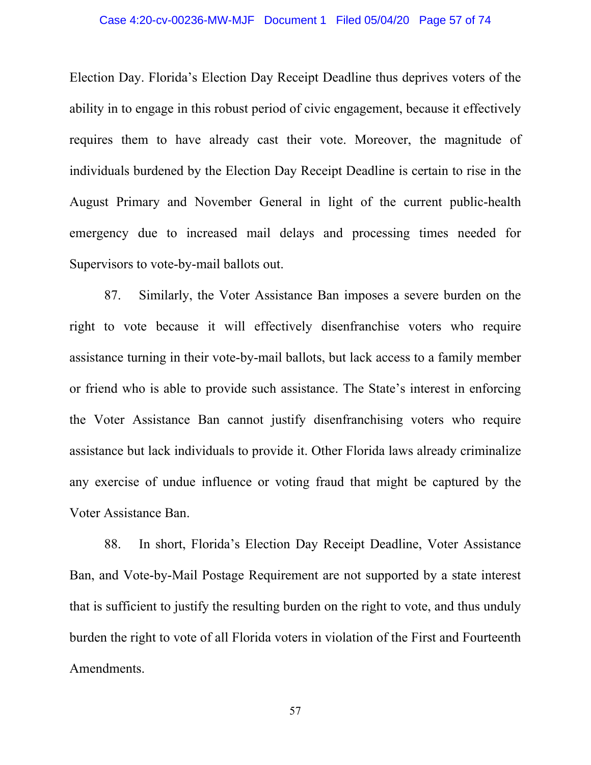### Case 4:20-cv-00236-MW-MJF Document 1 Filed 05/04/20 Page 57 of 74

Election Day. Florida's Election Day Receipt Deadline thus deprives voters of the ability in to engage in this robust period of civic engagement, because it effectively requires them to have already cast their vote. Moreover, the magnitude of individuals burdened by the Election Day Receipt Deadline is certain to rise in the August Primary and November General in light of the current public-health emergency due to increased mail delays and processing times needed for Supervisors to vote-by-mail ballots out.

87. Similarly, the Voter Assistance Ban imposes a severe burden on the right to vote because it will effectively disenfranchise voters who require assistance turning in their vote-by-mail ballots, but lack access to a family member or friend who is able to provide such assistance. The State's interest in enforcing the Voter Assistance Ban cannot justify disenfranchising voters who require assistance but lack individuals to provide it. Other Florida laws already criminalize any exercise of undue influence or voting fraud that might be captured by the Voter Assistance Ban.

88. In short, Florida's Election Day Receipt Deadline, Voter Assistance Ban, and Vote-by-Mail Postage Requirement are not supported by a state interest that is sufficient to justify the resulting burden on the right to vote, and thus unduly burden the right to vote of all Florida voters in violation of the First and Fourteenth Amendments.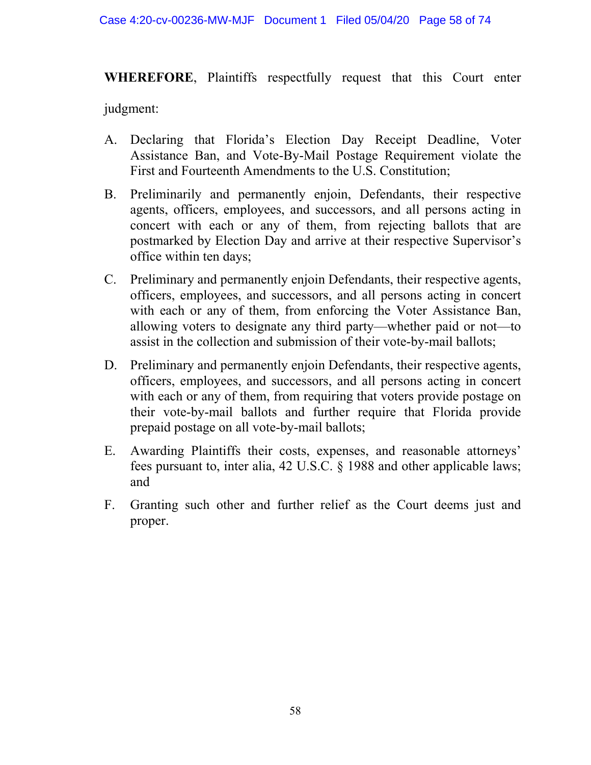#### Case 4:20-cv-00236-MW-MJF Document 1 Filed 05/04/20 Page 58 of 74

**WHEREFORE**, Plaintiffs respectfully request that this Court enter

judgment:

- A. Declaring that Florida's Election Day Receipt Deadline, Voter Assistance Ban, and Vote-By-Mail Postage Requirement violate the First and Fourteenth Amendments to the U.S. Constitution;
- B. Preliminarily and permanently enjoin, Defendants, their respective agents, officers, employees, and successors, and all persons acting in concert with each or any of them, from rejecting ballots that are postmarked by Election Day and arrive at their respective Supervisor's office within ten days;
- C. Preliminary and permanently enjoin Defendants, their respective agents, officers, employees, and successors, and all persons acting in concert with each or any of them, from enforcing the Voter Assistance Ban, allowing voters to designate any third party⸺whether paid or not⸺to assist in the collection and submission of their vote-by-mail ballots;
- D. Preliminary and permanently enjoin Defendants, their respective agents, officers, employees, and successors, and all persons acting in concert with each or any of them, from requiring that voters provide postage on their vote-by-mail ballots and further require that Florida provide prepaid postage on all vote-by-mail ballots;
- E. Awarding Plaintiffs their costs, expenses, and reasonable attorneys' fees pursuant to, inter alia, 42 U.S.C. § 1988 and other applicable laws; and
- F. Granting such other and further relief as the Court deems just and proper.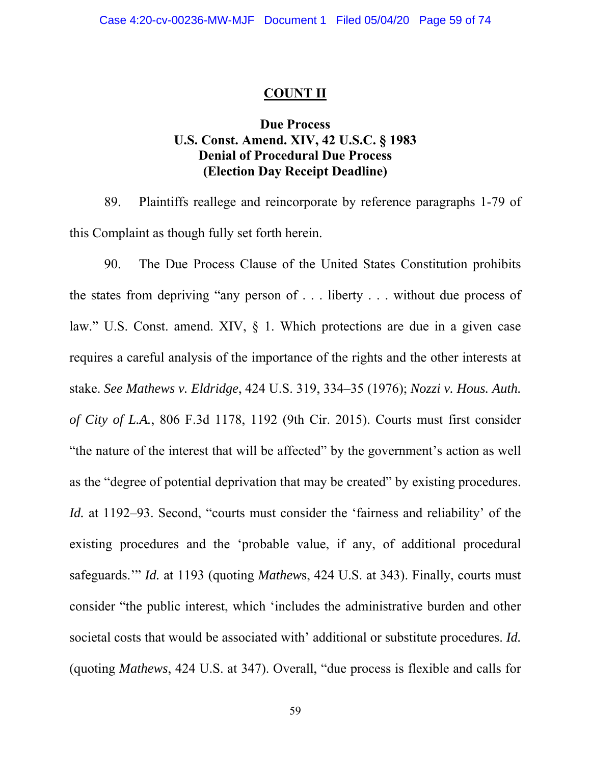### **COUNT II**

### **Due Process U.S. Const. Amend. XIV, 42 U.S.C. § 1983 Denial of Procedural Due Process (Election Day Receipt Deadline)**

89. Plaintiffs reallege and reincorporate by reference paragraphs 1-79 of this Complaint as though fully set forth herein.

90. The Due Process Clause of the United States Constitution prohibits the states from depriving "any person of . . . liberty . . . without due process of law." U.S. Const. amend. XIV, § 1. Which protections are due in a given case requires a careful analysis of the importance of the rights and the other interests at stake. *See Mathews v. Eldridge*, 424 U.S. 319, 334–35 (1976); *Nozzi v. Hous. Auth. of City of L.A.*, 806 F.3d 1178, 1192 (9th Cir. 2015). Courts must first consider "the nature of the interest that will be affected" by the government's action as well as the "degree of potential deprivation that may be created" by existing procedures. *Id.* at 1192–93. Second, "courts must consider the 'fairness and reliability' of the existing procedures and the 'probable value, if any, of additional procedural safeguards.'" *Id.* at 1193 (quoting *Mathew*s, 424 U.S. at 343). Finally, courts must consider "the public interest, which 'includes the administrative burden and other societal costs that would be associated with' additional or substitute procedures. *Id.* (quoting *Mathews*, 424 U.S. at 347). Overall, "due process is flexible and calls for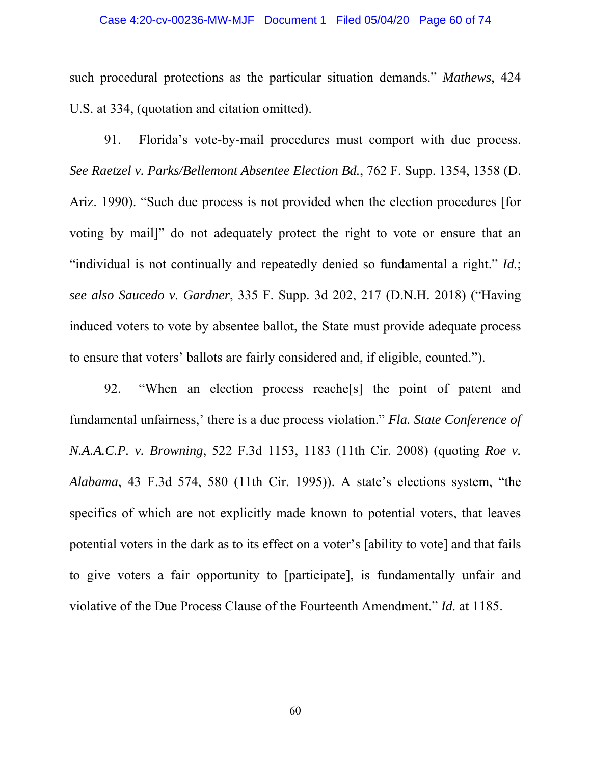such procedural protections as the particular situation demands." *Mathews*, 424 U.S. at 334, (quotation and citation omitted).

91. Florida's vote-by-mail procedures must comport with due process. *See Raetzel v. Parks/Bellemont Absentee Election Bd.*, 762 F. Supp. 1354, 1358 (D. Ariz. 1990). "Such due process is not provided when the election procedures [for voting by mail]" do not adequately protect the right to vote or ensure that an "individual is not continually and repeatedly denied so fundamental a right." *Id.*; *see also Saucedo v. Gardner*, 335 F. Supp. 3d 202, 217 (D.N.H. 2018) ("Having induced voters to vote by absentee ballot, the State must provide adequate process to ensure that voters' ballots are fairly considered and, if eligible, counted.").

92. "When an election process reache[s] the point of patent and fundamental unfairness,' there is a due process violation." *Fla. State Conference of N.A.A.C.P. v. Browning*, 522 F.3d 1153, 1183 (11th Cir. 2008) (quoting *Roe v. Alabama*, 43 F.3d 574, 580 (11th Cir. 1995)). A state's elections system, "the specifics of which are not explicitly made known to potential voters, that leaves potential voters in the dark as to its effect on a voter's [ability to vote] and that fails to give voters a fair opportunity to [participate], is fundamentally unfair and violative of the Due Process Clause of the Fourteenth Amendment." *Id.* at 1185.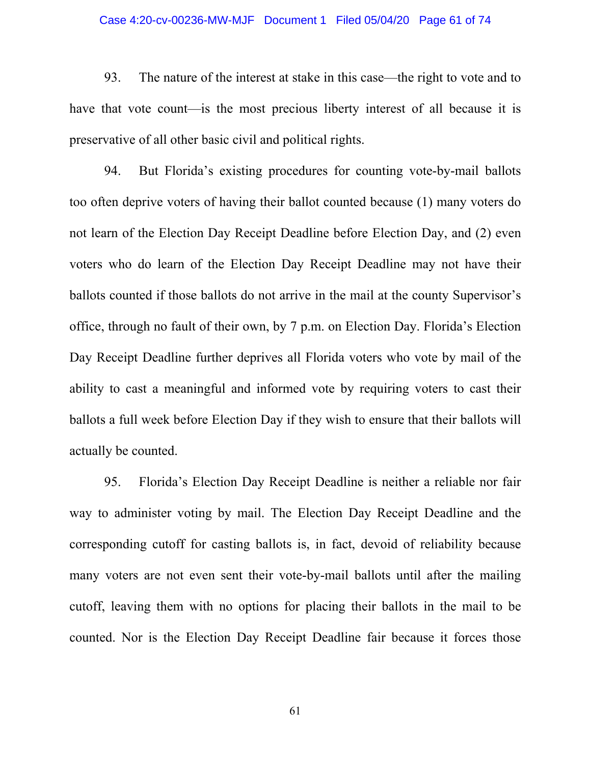### Case 4:20-cv-00236-MW-MJF Document 1 Filed 05/04/20 Page 61 of 74

93. The nature of the interest at stake in this case⸺the right to vote and to have that vote count—is the most precious liberty interest of all because it is preservative of all other basic civil and political rights.

94. But Florida's existing procedures for counting vote-by-mail ballots too often deprive voters of having their ballot counted because (1) many voters do not learn of the Election Day Receipt Deadline before Election Day, and (2) even voters who do learn of the Election Day Receipt Deadline may not have their ballots counted if those ballots do not arrive in the mail at the county Supervisor's office, through no fault of their own, by 7 p.m. on Election Day. Florida's Election Day Receipt Deadline further deprives all Florida voters who vote by mail of the ability to cast a meaningful and informed vote by requiring voters to cast their ballots a full week before Election Day if they wish to ensure that their ballots will actually be counted.

95. Florida's Election Day Receipt Deadline is neither a reliable nor fair way to administer voting by mail. The Election Day Receipt Deadline and the corresponding cutoff for casting ballots is, in fact, devoid of reliability because many voters are not even sent their vote-by-mail ballots until after the mailing cutoff, leaving them with no options for placing their ballots in the mail to be counted. Nor is the Election Day Receipt Deadline fair because it forces those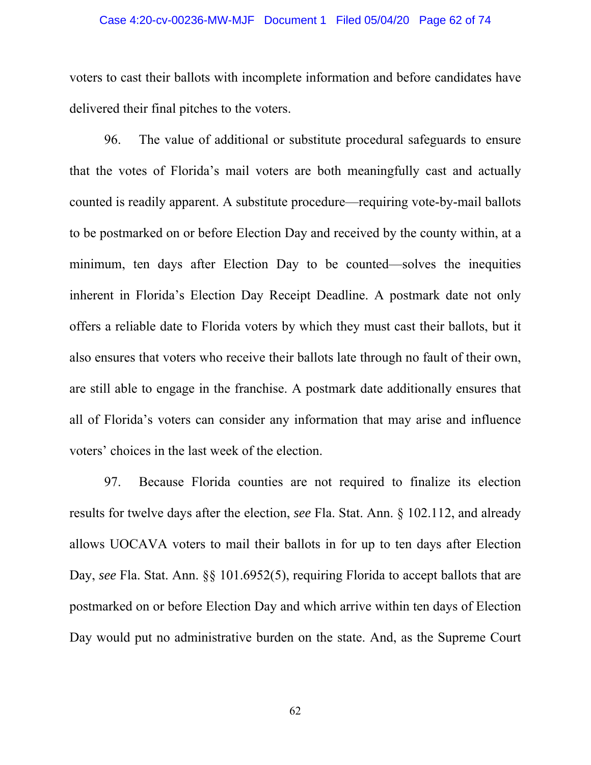### Case 4:20-cv-00236-MW-MJF Document 1 Filed 05/04/20 Page 62 of 74

voters to cast their ballots with incomplete information and before candidates have delivered their final pitches to the voters.

96. The value of additional or substitute procedural safeguards to ensure that the votes of Florida's mail voters are both meaningfully cast and actually counted is readily apparent. A substitute procedure⸺requiring vote-by-mail ballots to be postmarked on or before Election Day and received by the county within, at a minimum, ten days after Election Day to be counted—solves the inequities inherent in Florida's Election Day Receipt Deadline. A postmark date not only offers a reliable date to Florida voters by which they must cast their ballots, but it also ensures that voters who receive their ballots late through no fault of their own, are still able to engage in the franchise. A postmark date additionally ensures that all of Florida's voters can consider any information that may arise and influence voters' choices in the last week of the election.

97. Because Florida counties are not required to finalize its election results for twelve days after the election, *see* Fla. Stat. Ann. § 102.112, and already allows UOCAVA voters to mail their ballots in for up to ten days after Election Day, *see* Fla. Stat. Ann.  $\S$ § 101.6952(5), requiring Florida to accept ballots that are postmarked on or before Election Day and which arrive within ten days of Election Day would put no administrative burden on the state. And, as the Supreme Court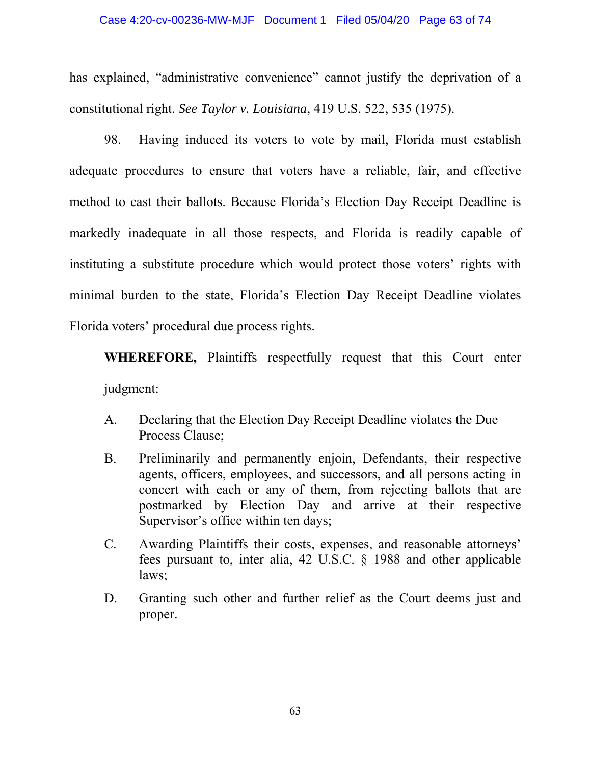#### Case 4:20-cv-00236-MW-MJF Document 1 Filed 05/04/20 Page 63 of 74

has explained, "administrative convenience" cannot justify the deprivation of a constitutional right. *See Taylor v. Louisiana*, 419 U.S. 522, 535 (1975).

98. Having induced its voters to vote by mail, Florida must establish adequate procedures to ensure that voters have a reliable, fair, and effective method to cast their ballots. Because Florida's Election Day Receipt Deadline is markedly inadequate in all those respects, and Florida is readily capable of instituting a substitute procedure which would protect those voters' rights with minimal burden to the state, Florida's Election Day Receipt Deadline violates Florida voters' procedural due process rights.

**WHEREFORE,** Plaintiffs respectfully request that this Court enter judgment:

- A. Declaring that the Election Day Receipt Deadline violates the Due Process Clause;
- B. Preliminarily and permanently enjoin, Defendants, their respective agents, officers, employees, and successors, and all persons acting in concert with each or any of them, from rejecting ballots that are postmarked by Election Day and arrive at their respective Supervisor's office within ten days;
- C. Awarding Plaintiffs their costs, expenses, and reasonable attorneys' fees pursuant to, inter alia, 42 U.S.C. § 1988 and other applicable laws;
- D. Granting such other and further relief as the Court deems just and proper.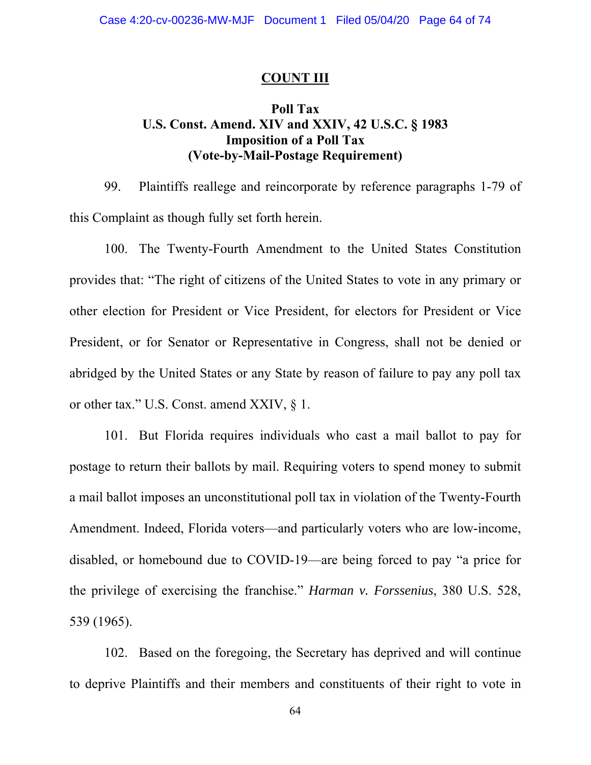### **COUNT III**

## **Poll Tax U.S. Const. Amend. XIV and XXIV, 42 U.S.C. § 1983 Imposition of a Poll Tax (Vote-by-Mail-Postage Requirement)**

99. Plaintiffs reallege and reincorporate by reference paragraphs 1-79 of this Complaint as though fully set forth herein.

100. The Twenty-Fourth Amendment to the United States Constitution provides that: "The right of citizens of the United States to vote in any primary or other election for President or Vice President, for electors for President or Vice President, or for Senator or Representative in Congress, shall not be denied or abridged by the United States or any State by reason of failure to pay any poll tax or other tax." U.S. Const. amend XXIV, § 1.

101. But Florida requires individuals who cast a mail ballot to pay for postage to return their ballots by mail. Requiring voters to spend money to submit a mail ballot imposes an unconstitutional poll tax in violation of the Twenty-Fourth Amendment. Indeed, Florida voters⸺and particularly voters who are low-income, disabled, or homebound due to COVID-19⸺are being forced to pay "a price for the privilege of exercising the franchise." *Harman v. Forssenius*, 380 U.S. 528, 539 (1965).

102. Based on the foregoing, the Secretary has deprived and will continue to deprive Plaintiffs and their members and constituents of their right to vote in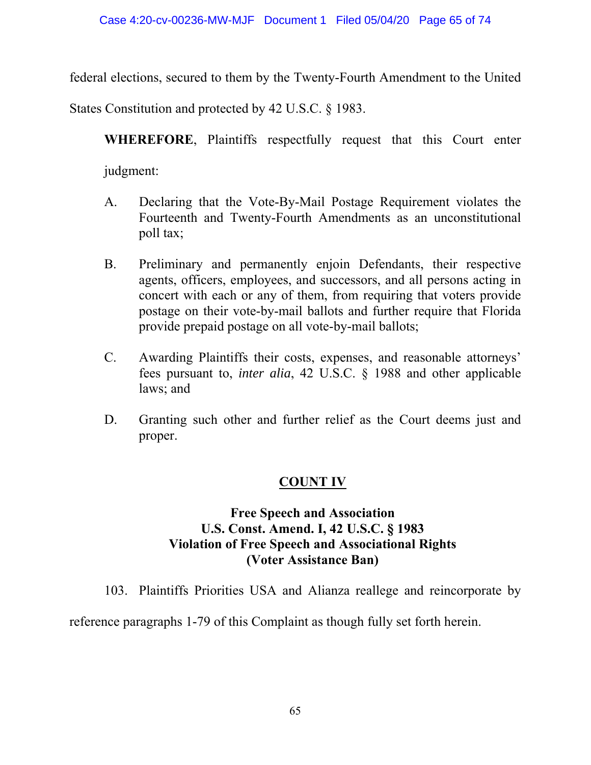federal elections, secured to them by the Twenty-Fourth Amendment to the United

States Constitution and protected by 42 U.S.C. § 1983.

**WHEREFORE**, Plaintiffs respectfully request that this Court enter judgment:

- A. Declaring that the Vote-By-Mail Postage Requirement violates the Fourteenth and Twenty-Fourth Amendments as an unconstitutional poll tax;
- B. Preliminary and permanently enjoin Defendants, their respective agents, officers, employees, and successors, and all persons acting in concert with each or any of them, from requiring that voters provide postage on their vote-by-mail ballots and further require that Florida provide prepaid postage on all vote-by-mail ballots;
- C. Awarding Plaintiffs their costs, expenses, and reasonable attorneys' fees pursuant to, *inter alia*, 42 U.S.C. § 1988 and other applicable laws; and
- D. Granting such other and further relief as the Court deems just and proper.

# **COUNT IV**

# **Free Speech and Association U.S. Const. Amend. I, 42 U.S.C. § 1983 Violation of Free Speech and Associational Rights (Voter Assistance Ban)**

103. Plaintiffs Priorities USA and Alianza reallege and reincorporate by

reference paragraphs 1-79 of this Complaint as though fully set forth herein.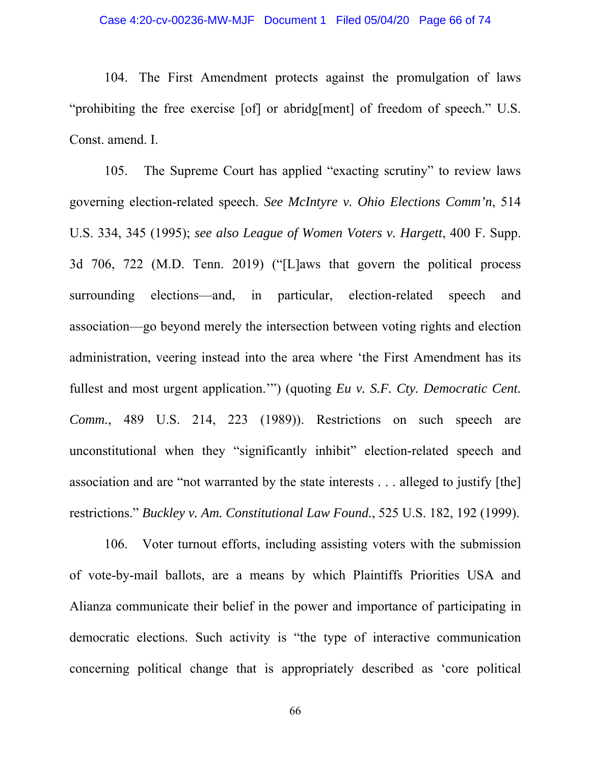104. The First Amendment protects against the promulgation of laws "prohibiting the free exercise [of] or abridg[ment] of freedom of speech." U.S. Const. amend. I.

105. The Supreme Court has applied "exacting scrutiny" to review laws governing election-related speech. *See McIntyre v. Ohio Elections Comm'n*, 514 U.S. 334, 345 (1995); *see also League of Women Voters v. Hargett*, 400 F. Supp. 3d 706, 722 (M.D. Tenn. 2019) ("[L]aws that govern the political process surrounding elections—and, in particular, election-related speech and association—go beyond merely the intersection between voting rights and election administration, veering instead into the area where 'the First Amendment has its fullest and most urgent application.'") (quoting *Eu v. S.F. Cty. Democratic Cent. Comm.*, 489 U.S. 214, 223 (1989)). Restrictions on such speech are unconstitutional when they "significantly inhibit" election-related speech and association and are "not warranted by the state interests . . . alleged to justify [the] restrictions." *Buckley v. Am. Constitutional Law Found.*, 525 U.S. 182, 192 (1999).

106. Voter turnout efforts, including assisting voters with the submission of vote-by-mail ballots, are a means by which Plaintiffs Priorities USA and Alianza communicate their belief in the power and importance of participating in democratic elections. Such activity is "the type of interactive communication concerning political change that is appropriately described as 'core political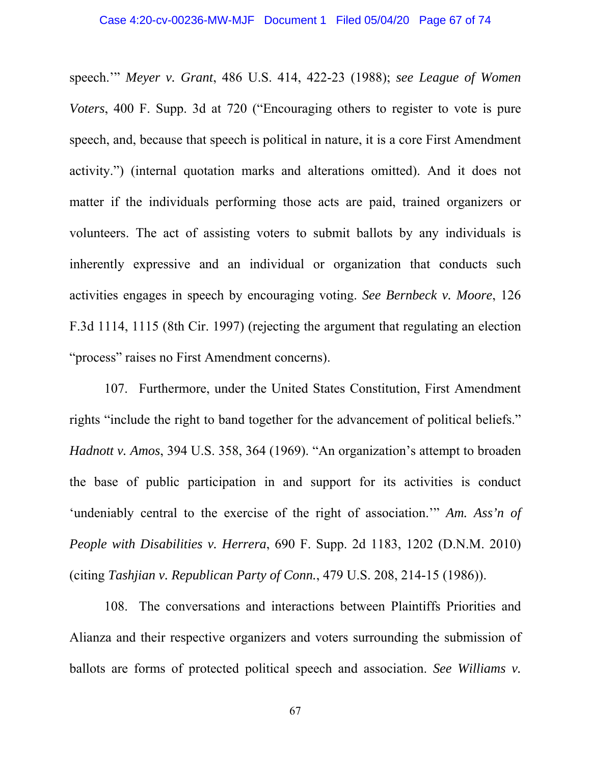speech.'" *Meyer v. Grant*, 486 U.S. 414, 422-23 (1988); *see League of Women Voters*, 400 F. Supp. 3d at 720 ("Encouraging others to register to vote is pure speech, and, because that speech is political in nature, it is a core First Amendment activity.") (internal quotation marks and alterations omitted). And it does not matter if the individuals performing those acts are paid, trained organizers or volunteers. The act of assisting voters to submit ballots by any individuals is inherently expressive and an individual or organization that conducts such activities engages in speech by encouraging voting. *See Bernbeck v. Moore*, 126 F.3d 1114, 1115 (8th Cir. 1997) (rejecting the argument that regulating an election "process" raises no First Amendment concerns).

107. Furthermore, under the United States Constitution, First Amendment rights "include the right to band together for the advancement of political beliefs." *Hadnott v. Amos*, 394 U.S. 358, 364 (1969). "An organization's attempt to broaden the base of public participation in and support for its activities is conduct 'undeniably central to the exercise of the right of association.'" *Am. Ass'n of People with Disabilities v. Herrera*, 690 F. Supp. 2d 1183, 1202 (D.N.M. 2010) (citing *Tashjian v. Republican Party of Conn.*, 479 U.S. 208, 214-15 (1986)).

108. The conversations and interactions between Plaintiffs Priorities and Alianza and their respective organizers and voters surrounding the submission of ballots are forms of protected political speech and association. *See Williams v.*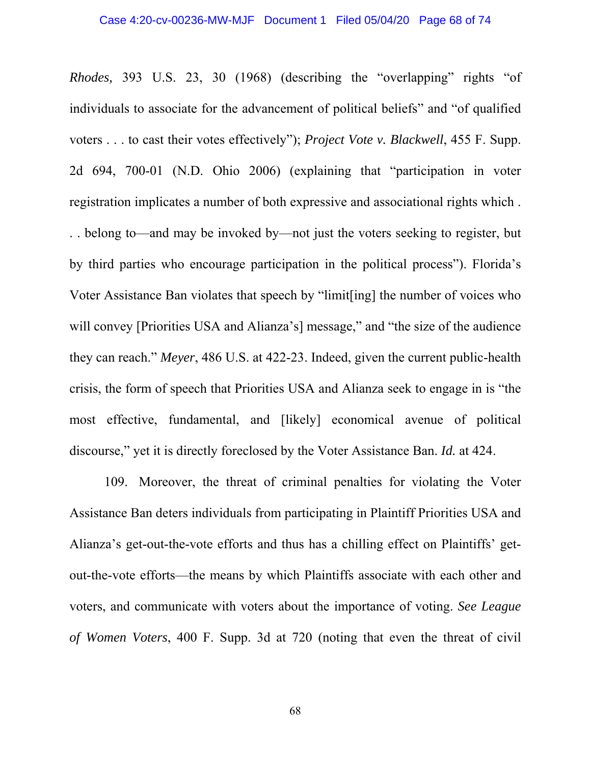*Rhodes,* 393 U.S. 23, 30 (1968) (describing the "overlapping" rights "of individuals to associate for the advancement of political beliefs" and "of qualified voters . . . to cast their votes effectively"); *Project Vote v. Blackwell*, 455 F. Supp. 2d 694, 700-01 (N.D. Ohio 2006) (explaining that "participation in voter registration implicates a number of both expressive and associational rights which . . . belong to—and may be invoked by—not just the voters seeking to register, but by third parties who encourage participation in the political process"). Florida's Voter Assistance Ban violates that speech by "limit[ing] the number of voices who will convey [Priorities USA and Alianza's] message," and "the size of the audience they can reach." *Meyer*, 486 U.S. at 422-23. Indeed, given the current public-health crisis, the form of speech that Priorities USA and Alianza seek to engage in is "the most effective, fundamental, and [likely] economical avenue of political discourse," yet it is directly foreclosed by the Voter Assistance Ban. *Id.* at 424.

109. Moreover, the threat of criminal penalties for violating the Voter Assistance Ban deters individuals from participating in Plaintiff Priorities USA and Alianza's get-out-the-vote efforts and thus has a chilling effect on Plaintiffs' getout-the-vote efforts—the means by which Plaintiffs associate with each other and voters, and communicate with voters about the importance of voting. *See League of Women Voters*, 400 F. Supp. 3d at 720 (noting that even the threat of civil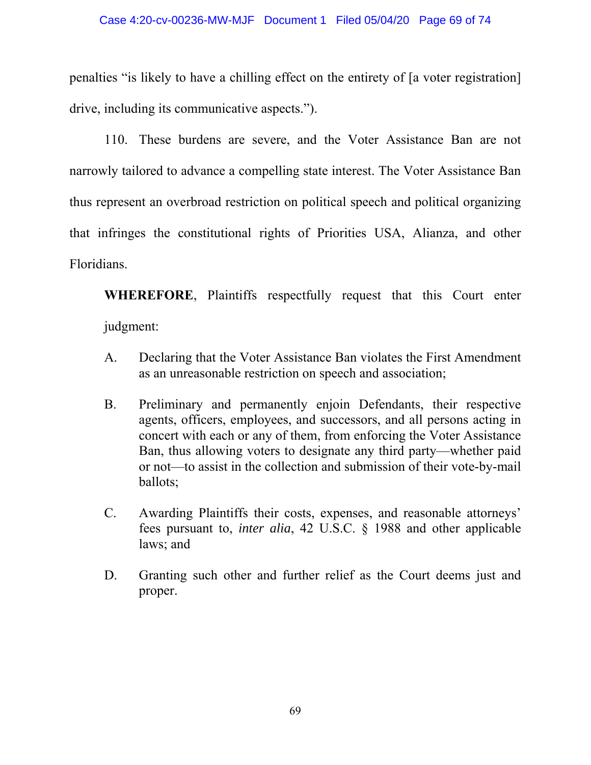penalties "is likely to have a chilling effect on the entirety of [a voter registration] drive, including its communicative aspects.").

110. These burdens are severe, and the Voter Assistance Ban are not narrowly tailored to advance a compelling state interest. The Voter Assistance Ban thus represent an overbroad restriction on political speech and political organizing that infringes the constitutional rights of Priorities USA, Alianza, and other Floridians.

**WHEREFORE**, Plaintiffs respectfully request that this Court enter judgment:

- A. Declaring that the Voter Assistance Ban violates the First Amendment as an unreasonable restriction on speech and association;
- B. Preliminary and permanently enjoin Defendants, their respective agents, officers, employees, and successors, and all persons acting in concert with each or any of them, from enforcing the Voter Assistance Ban, thus allowing voters to designate any third party⸺whether paid or not⸺to assist in the collection and submission of their vote-by-mail ballots;
- C. Awarding Plaintiffs their costs, expenses, and reasonable attorneys' fees pursuant to, *inter alia*, 42 U.S.C. § 1988 and other applicable laws; and
- D. Granting such other and further relief as the Court deems just and proper.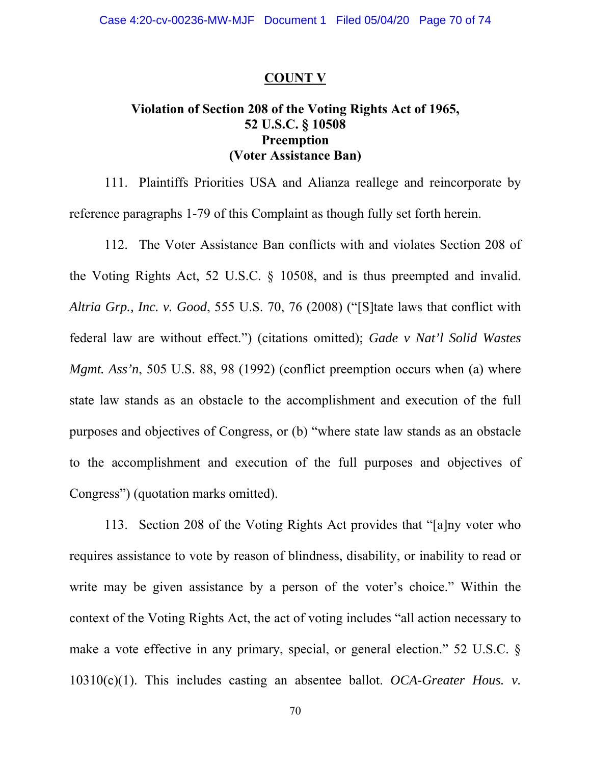#### **COUNT V**

# **Violation of Section 208 of the Voting Rights Act of 1965, 52 U.S.C. § 10508 Preemption (Voter Assistance Ban)**

111. Plaintiffs Priorities USA and Alianza reallege and reincorporate by reference paragraphs 1-79 of this Complaint as though fully set forth herein.

112. The Voter Assistance Ban conflicts with and violates Section 208 of the Voting Rights Act, 52 U.S.C. § 10508, and is thus preempted and invalid. *Altria Grp., Inc. v. Good*, 555 U.S. 70, 76 (2008) ("[S]tate laws that conflict with federal law are without effect.") (citations omitted); *Gade v Nat'l Solid Wastes Mgmt. Ass'n*, 505 U.S. 88, 98 (1992) (conflict preemption occurs when (a) where state law stands as an obstacle to the accomplishment and execution of the full purposes and objectives of Congress, or (b) "where state law stands as an obstacle to the accomplishment and execution of the full purposes and objectives of Congress") (quotation marks omitted).

113. Section 208 of the Voting Rights Act provides that "[a]ny voter who requires assistance to vote by reason of blindness, disability, or inability to read or write may be given assistance by a person of the voter's choice." Within the context of the Voting Rights Act, the act of voting includes "all action necessary to make a vote effective in any primary, special, or general election." 52 U.S.C. § 10310(c)(1). This includes casting an absentee ballot. *OCA-Greater Hous. v.*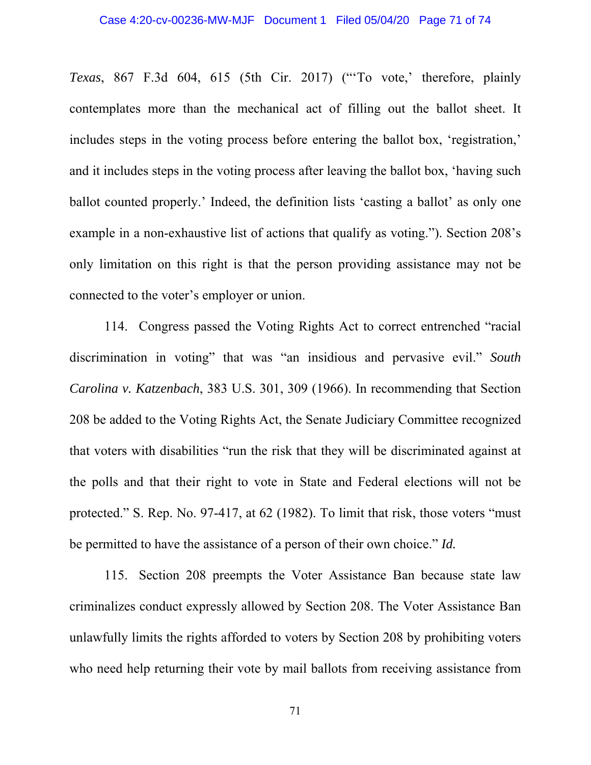*Texas*, 867 F.3d 604, 615 (5th Cir. 2017) ("'To vote,' therefore, plainly contemplates more than the mechanical act of filling out the ballot sheet. It includes steps in the voting process before entering the ballot box, 'registration,' and it includes steps in the voting process after leaving the ballot box, 'having such ballot counted properly.' Indeed, the definition lists 'casting a ballot' as only one example in a non-exhaustive list of actions that qualify as voting."). Section 208's only limitation on this right is that the person providing assistance may not be connected to the voter's employer or union.

114. Congress passed the Voting Rights Act to correct entrenched "racial discrimination in voting" that was "an insidious and pervasive evil." *South Carolina v. Katzenbach*, 383 U.S. 301, 309 (1966). In recommending that Section 208 be added to the Voting Rights Act, the Senate Judiciary Committee recognized that voters with disabilities "run the risk that they will be discriminated against at the polls and that their right to vote in State and Federal elections will not be protected." S. Rep. No. 97-417, at 62 (1982). To limit that risk, those voters "must be permitted to have the assistance of a person of their own choice." *Id.*

115. Section 208 preempts the Voter Assistance Ban because state law criminalizes conduct expressly allowed by Section 208. The Voter Assistance Ban unlawfully limits the rights afforded to voters by Section 208 by prohibiting voters who need help returning their vote by mail ballots from receiving assistance from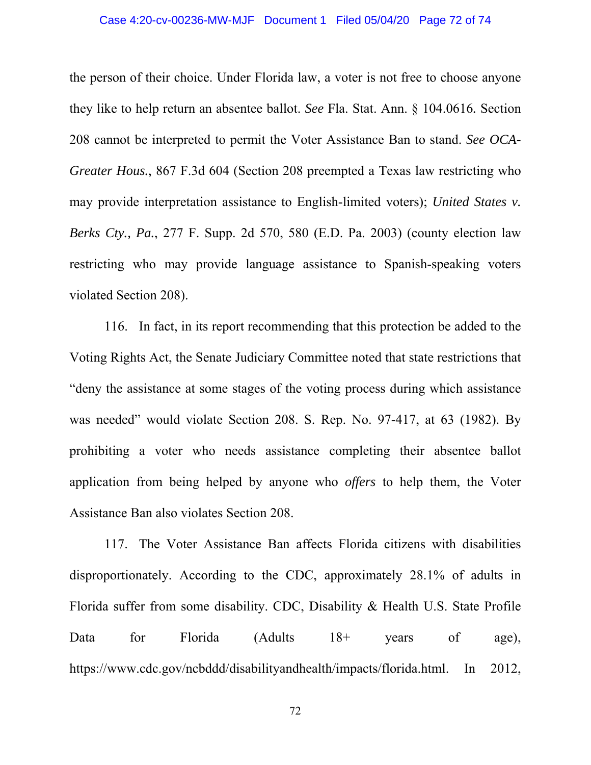### Case 4:20-cv-00236-MW-MJF Document 1 Filed 05/04/20 Page 72 of 74

the person of their choice. Under Florida law, a voter is not free to choose anyone they like to help return an absentee ballot. *See* Fla. Stat. Ann. § 104.0616*.* Section 208 cannot be interpreted to permit the Voter Assistance Ban to stand. *See OCA-Greater Hous.*, 867 F.3d 604 (Section 208 preempted a Texas law restricting who may provide interpretation assistance to English-limited voters); *United States v. Berks Cty., Pa.*, 277 F. Supp. 2d 570, 580 (E.D. Pa. 2003) (county election law restricting who may provide language assistance to Spanish-speaking voters violated Section 208).

116. In fact, in its report recommending that this protection be added to the Voting Rights Act, the Senate Judiciary Committee noted that state restrictions that "deny the assistance at some stages of the voting process during which assistance was needed" would violate Section 208. S. Rep. No. 97-417, at 63 (1982). By prohibiting a voter who needs assistance completing their absentee ballot application from being helped by anyone who *offers* to help them, the Voter Assistance Ban also violates Section 208.

117. The Voter Assistance Ban affects Florida citizens with disabilities disproportionately. According to the CDC, approximately 28.1% of adults in Florida suffer from some disability. CDC, Disability & Health U.S. State Profile Data for Florida (Adults 18+ years of age), https://www.cdc.gov/ncbddd/disabilityandhealth/impacts/florida.html. In 2012,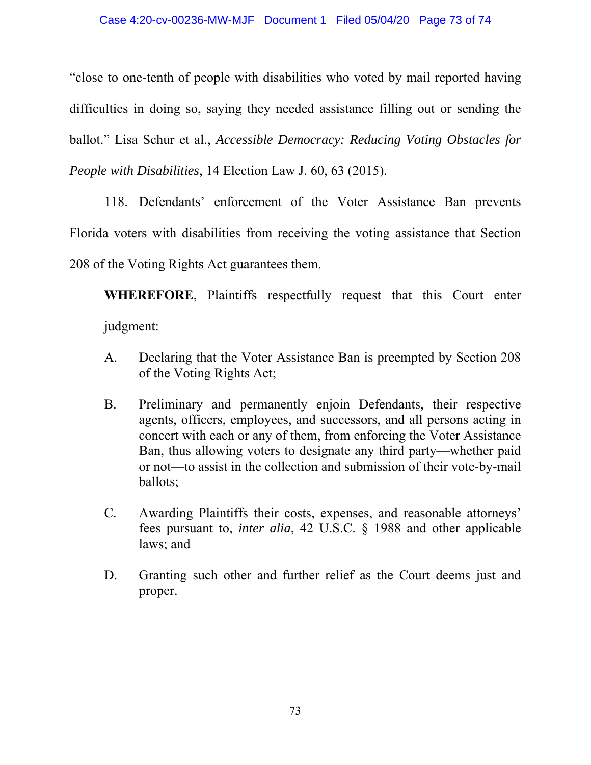"close to one-tenth of people with disabilities who voted by mail reported having difficulties in doing so, saying they needed assistance filling out or sending the ballot." Lisa Schur et al., *Accessible Democracy: Reducing Voting Obstacles for People with Disabilities*, 14 Election Law J. 60, 63 (2015).

118. Defendants' enforcement of the Voter Assistance Ban prevents Florida voters with disabilities from receiving the voting assistance that Section 208 of the Voting Rights Act guarantees them.

 **WHEREFORE**, Plaintiffs respectfully request that this Court enter judgment:

- A. Declaring that the Voter Assistance Ban is preempted by Section 208 of the Voting Rights Act;
- B. Preliminary and permanently enjoin Defendants, their respective agents, officers, employees, and successors, and all persons acting in concert with each or any of them, from enforcing the Voter Assistance Ban, thus allowing voters to designate any third party⸺whether paid or not⸺to assist in the collection and submission of their vote-by-mail ballots;
- C. Awarding Plaintiffs their costs, expenses, and reasonable attorneys' fees pursuant to, *inter alia*, 42 U.S.C. § 1988 and other applicable laws; and
- D. Granting such other and further relief as the Court deems just and proper.